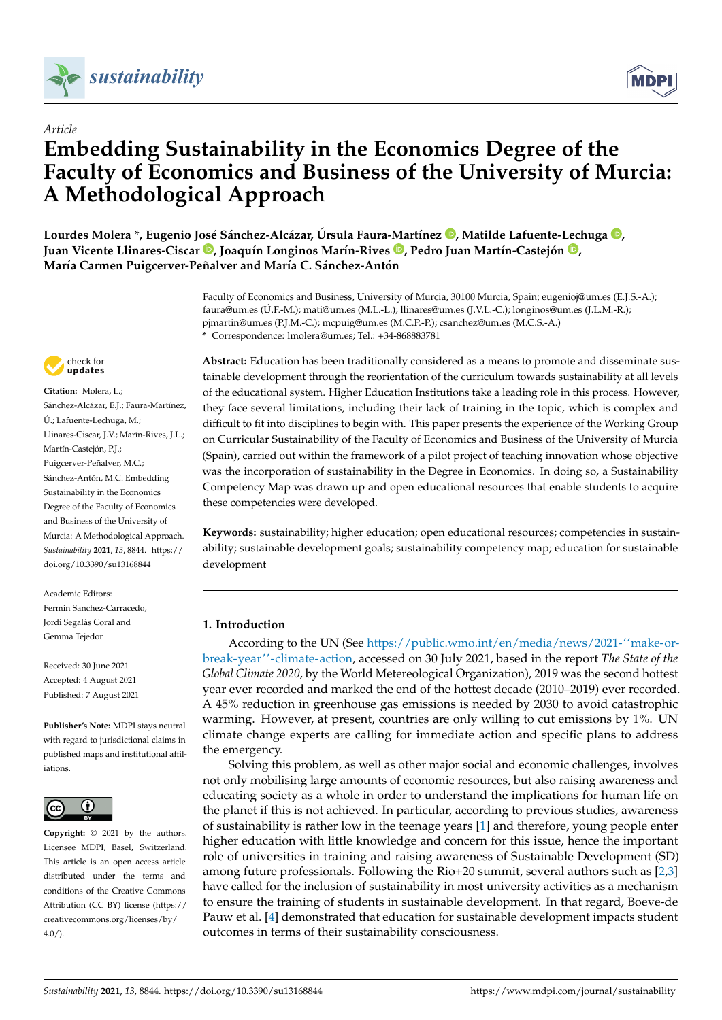



# *Article* **Embedding Sustainability in the Economics Degree of the Faculty of Economics and Business of the University of Murcia: A Methodological Approach**

**Lourdes Molera \*, Eugenio José Sánchez-Alcázar, Úrsula Faura-Martínez [,](https://orcid.org/0000-0001-6373-9433) Matilde Lafuente-Lechuga [,](https://orcid.org/0000-0002-6010-4851) Juan Vicente Llinares-Ciscar [,](https://orcid.org/0000-0003-1674-8921) Joaquín Longinos Marín-Rives [,](https://orcid.org/0000-0002-4238-2989) Pedro Juan Martín-Castejón [,](https://orcid.org/0000-0002-4987-3078) María Carmen Puigcerver-Peñalver and María C. Sánchez-Antón**

> Faculty of Economics and Business, University of Murcia, 30100 Murcia, Spain; eugenioj@um.es (E.J.S.-A.); faura@um.es (Ú.F.-M.); mati@um.es (M.L.-L.); llinares@um.es (J.V.L.-C.); longinos@um.es (J.L.M.-R.); pjmartin@um.es (P.J.M.-C.); mcpuig@um.es (M.C.P.-P.); csanchez@um.es (M.C.S.-A.) **\*** Correspondence: lmolera@um.es; Tel.: +34-868883781



**Citation:** Molera, L.; Sánchez-Alcázar, E.J.; Faura-Martínez, Ú.; Lafuente-Lechuga, M.; Llinares-Ciscar, J.V.; Marín-Rives, J.L.; Martín-Castejón, P.J.; Puigcerver-Peñalver, M.C.; Sánchez-Antón, M.C. Embedding Sustainability in the Economics Degree of the Faculty of Economics and Business of the University of Murcia: A Methodological Approach. *Sustainability* **2021**, *13*, 8844. [https://](https://doi.org/10.3390/su13168844) [doi.org/10.3390/su13168844](https://doi.org/10.3390/su13168844)

Academic Editors: Fermin Sanchez-Carracedo, Jordi Segalàs Coral and Gemma Tejedor

Received: 30 June 2021 Accepted: 4 August 2021 Published: 7 August 2021

**Publisher's Note:** MDPI stays neutral with regard to jurisdictional claims in published maps and institutional affiliations.



**Copyright:** © 2021 by the authors. Licensee MDPI, Basel, Switzerland. This article is an open access article distributed under the terms and conditions of the Creative Commons Attribution (CC BY) license (https:/[/](https://creativecommons.org/licenses/by/4.0/) [creativecommons.org/licenses/by/](https://creativecommons.org/licenses/by/4.0/)  $4.0/$ ).

**Abstract:** Education has been traditionally considered as a means to promote and disseminate sustainable development through the reorientation of the curriculum towards sustainability at all levels of the educational system. Higher Education Institutions take a leading role in this process. However, they face several limitations, including their lack of training in the topic, which is complex and difficult to fit into disciplines to begin with. This paper presents the experience of the Working Group on Curricular Sustainability of the Faculty of Economics and Business of the University of Murcia (Spain), carried out within the framework of a pilot project of teaching innovation whose objective was the incorporation of sustainability in the Degree in Economics. In doing so, a Sustainability Competency Map was drawn up and open educational resources that enable students to acquire these competencies were developed.

**Keywords:** sustainability; higher education; open educational resources; competencies in sustainability; sustainable development goals; sustainability competency map; education for sustainable development

# **1. Introduction**

According to the UN (See [https://public.wmo.int/en/media/news/2021-''make-or](https://public.wmo.int/en/media/news/ 2021-``make-or-break-year)[break-year''-climate-action,](https://public.wmo.int/en/media/news/ 2021-``make-or-break-year) accessed on 30 July 2021, based in the report *The State of the Global Climate 2020*, by the World Metereological Organization), 2019 was the second hottest year ever recorded and marked the end of the hottest decade (2010–2019) ever recorded. A 45% reduction in greenhouse gas emissions is needed by 2030 to avoid catastrophic warming. However, at present, countries are only willing to cut emissions by 1%. UN climate change experts are calling for immediate action and specific plans to address the emergency.

Solving this problem, as well as other major social and economic challenges, involves not only mobilising large amounts of economic resources, but also raising awareness and educating society as a whole in order to understand the implications for human life on the planet if this is not achieved. In particular, according to previous studies, awareness of sustainability is rather low in the teenage years [\[1\]](#page-15-0) and therefore, young people enter higher education with little knowledge and concern for this issue, hence the important role of universities in training and raising awareness of Sustainable Development (SD) among future professionals. Following the Rio+20 summit, several authors such as [\[2](#page-15-1)[,3\]](#page-15-2) have called for the inclusion of sustainability in most university activities as a mechanism to ensure the training of students in sustainable development. In that regard, Boeve-de Pauw et al. [\[4\]](#page-15-3) demonstrated that education for sustainable development impacts student outcomes in terms of their sustainability consciousness.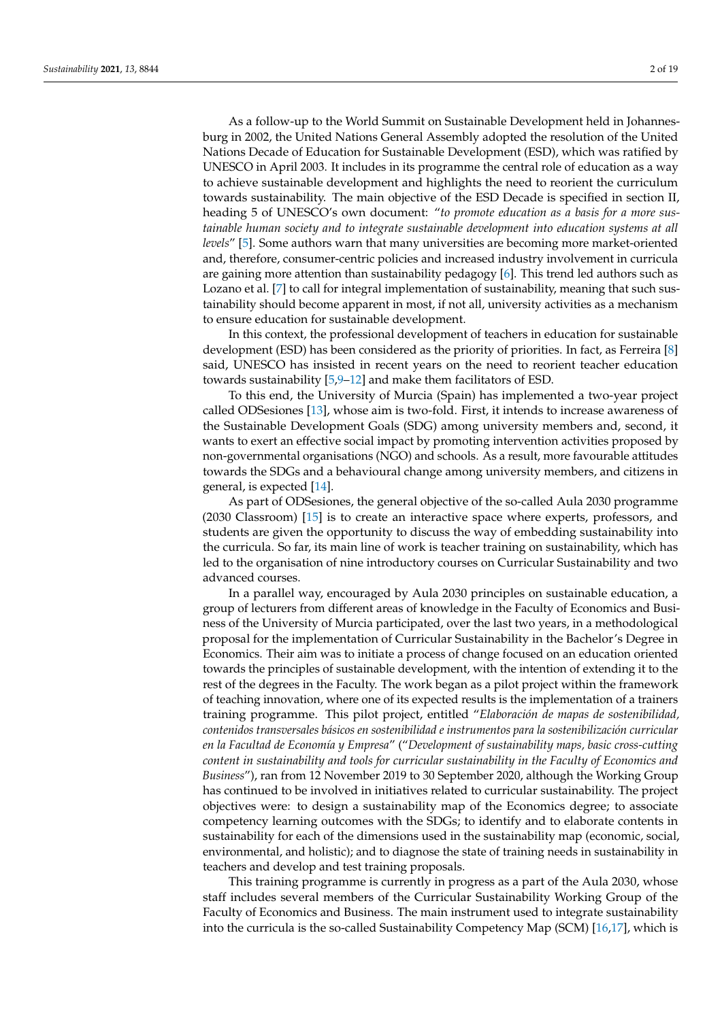As a follow-up to the World Summit on Sustainable Development held in Johannesburg in 2002, the United Nations General Assembly adopted the resolution of the United Nations Decade of Education for Sustainable Development (ESD), which was ratified by UNESCO in April 2003. It includes in its programme the central role of education as a way to achieve sustainable development and highlights the need to reorient the curriculum towards sustainability. The main objective of the ESD Decade is specified in section II, heading 5 of UNESCO's own document: "*to promote education as a basis for a more sustainable human society and to integrate sustainable development into education systems at all levels*" [\[5\]](#page-15-4). Some authors warn that many universities are becoming more market-oriented and, therefore, consumer-centric policies and increased industry involvement in curricula are gaining more attention than sustainability pedagogy  $[6]$ . This trend led authors such as Lozano et al. [\[7\]](#page-15-6) to call for integral implementation of sustainability, meaning that such sustainability should become apparent in most, if not all, university activities as a mechanism to ensure education for sustainable development.

In this context, the professional development of teachers in education for sustainable development (ESD) has been considered as the priority of priorities. In fact, as Ferreira [\[8\]](#page-15-7) said, UNESCO has insisted in recent years on the need to reorient teacher education towards sustainability [\[5](#page-15-4)[,9](#page-15-8)[–12\]](#page-15-9) and make them facilitators of ESD.

To this end, the University of Murcia (Spain) has implemented a two-year project called ODSesiones [\[13\]](#page-15-10), whose aim is two-fold. First, it intends to increase awareness of the Sustainable Development Goals (SDG) among university members and, second, it wants to exert an effective social impact by promoting intervention activities proposed by non-governmental organisations (NGO) and schools. As a result, more favourable attitudes towards the SDGs and a behavioural change among university members, and citizens in general, is expected [\[14\]](#page-15-11).

As part of ODSesiones, the general objective of the so-called Aula 2030 programme (2030 Classroom) [\[15\]](#page-15-12) is to create an interactive space where experts, professors, and students are given the opportunity to discuss the way of embedding sustainability into the curricula. So far, its main line of work is teacher training on sustainability, which has led to the organisation of nine introductory courses on Curricular Sustainability and two advanced courses.

In a parallel way, encouraged by Aula 2030 principles on sustainable education, a group of lecturers from different areas of knowledge in the Faculty of Economics and Business of the University of Murcia participated, over the last two years, in a methodological proposal for the implementation of Curricular Sustainability in the Bachelor's Degree in Economics. Their aim was to initiate a process of change focused on an education oriented towards the principles of sustainable development, with the intention of extending it to the rest of the degrees in the Faculty. The work began as a pilot project within the framework of teaching innovation, where one of its expected results is the implementation of a trainers training programme. This pilot project, entitled "*Elaboración de mapas de sostenibilidad, contenidos transversales básicos en sostenibilidad e instrumentos para la sostenibilización curricular en la Facultad de Economía y Empresa*" ("*Development of sustainability maps, basic cross-cutting content in sustainability and tools for curricular sustainability in the Faculty of Economics and Business*"), ran from 12 November 2019 to 30 September 2020, although the Working Group has continued to be involved in initiatives related to curricular sustainability. The project objectives were: to design a sustainability map of the Economics degree; to associate competency learning outcomes with the SDGs; to identify and to elaborate contents in sustainability for each of the dimensions used in the sustainability map (economic, social, environmental, and holistic); and to diagnose the state of training needs in sustainability in teachers and develop and test training proposals.

This training programme is currently in progress as a part of the Aula 2030, whose staff includes several members of the Curricular Sustainability Working Group of the Faculty of Economics and Business. The main instrument used to integrate sustainability into the curricula is the so-called Sustainability Competency Map (SCM) [\[16,](#page-15-13)[17\]](#page-15-14), which is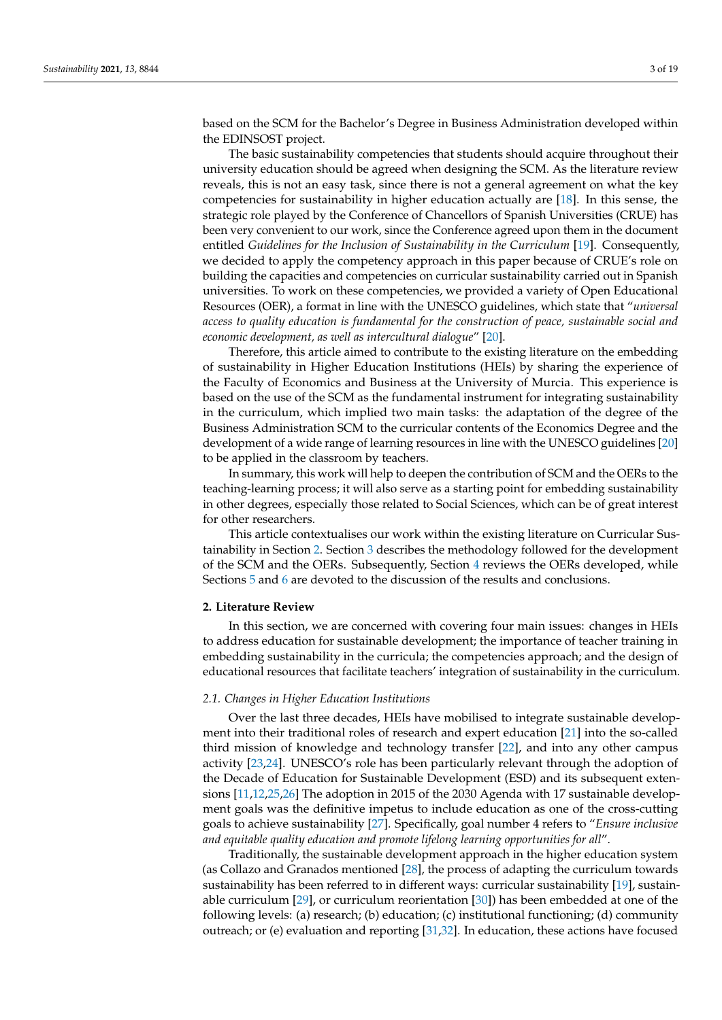based on the SCM for the Bachelor's Degree in Business Administration developed within the EDINSOST project.

The basic sustainability competencies that students should acquire throughout their university education should be agreed when designing the SCM. As the literature review reveals, this is not an easy task, since there is not a general agreement on what the key competencies for sustainability in higher education actually are [\[18\]](#page-15-15). In this sense, the strategic role played by the Conference of Chancellors of Spanish Universities (CRUE) has been very convenient to our work, since the Conference agreed upon them in the document entitled *Guidelines for the Inclusion of Sustainability in the Curriculum* [\[19\]](#page-15-16). Consequently, we decided to apply the competency approach in this paper because of CRUE's role on building the capacities and competencies on curricular sustainability carried out in Spanish universities. To work on these competencies, we provided a variety of Open Educational Resources (OER), a format in line with the UNESCO guidelines, which state that "*universal access to quality education is fundamental for the construction of peace, sustainable social and economic development, as well as intercultural dialogue*" [\[20\]](#page-15-17).

Therefore, this article aimed to contribute to the existing literature on the embedding of sustainability in Higher Education Institutions (HEIs) by sharing the experience of the Faculty of Economics and Business at the University of Murcia. This experience is based on the use of the SCM as the fundamental instrument for integrating sustainability in the curriculum, which implied two main tasks: the adaptation of the degree of the Business Administration SCM to the curricular contents of the Economics Degree and the development of a wide range of learning resources in line with the UNESCO guidelines [\[20\]](#page-15-17) to be applied in the classroom by teachers.

In summary, this work will help to deepen the contribution of SCM and the OERs to the teaching-learning process; it will also serve as a starting point for embedding sustainability in other degrees, especially those related to Social Sciences, which can be of great interest for other researchers.

This article contextualises our work within the existing literature on Curricular Sustainability in Section [2.](#page-2-0) Section [3](#page-6-0) describes the methodology followed for the development of the SCM and the OERs. Subsequently, Section [4](#page-9-0) reviews the OERs developed, while Sections [5](#page-13-0) and [6](#page-14-0) are devoted to the discussion of the results and conclusions.

#### <span id="page-2-0"></span>**2. Literature Review**

In this section, we are concerned with covering four main issues: changes in HEIs to address education for sustainable development; the importance of teacher training in embedding sustainability in the curricula; the competencies approach; and the design of educational resources that facilitate teachers' integration of sustainability in the curriculum.

#### *2.1. Changes in Higher Education Institutions*

Over the last three decades, HEIs have mobilised to integrate sustainable development into their traditional roles of research and expert education [\[21\]](#page-15-18) into the so-called third mission of knowledge and technology transfer [\[22\]](#page-15-19), and into any other campus activity [\[23,](#page-15-20)[24\]](#page-15-21). UNESCO's role has been particularly relevant through the adoption of the Decade of Education for Sustainable Development (ESD) and its subsequent extensions [\[11](#page-15-22)[,12](#page-15-9)[,25](#page-16-0)[,26\]](#page-16-1) The adoption in 2015 of the 2030 Agenda with 17 sustainable development goals was the definitive impetus to include education as one of the cross-cutting goals to achieve sustainability [\[27\]](#page-16-2). Specifically, goal number 4 refers to "*Ensure inclusive and equitable quality education and promote lifelong learning opportunities for all*".

Traditionally, the sustainable development approach in the higher education system (as Collazo and Granados mentioned [\[28\]](#page-16-3), the process of adapting the curriculum towards sustainability has been referred to in different ways: curricular sustainability [\[19\]](#page-15-16), sustainable curriculum [\[29\]](#page-16-4), or curriculum reorientation [\[30\]](#page-16-5)) has been embedded at one of the following levels: (a) research; (b) education; (c) institutional functioning; (d) community outreach; or (e) evaluation and reporting [\[31](#page-16-6)[,32\]](#page-16-7). In education, these actions have focused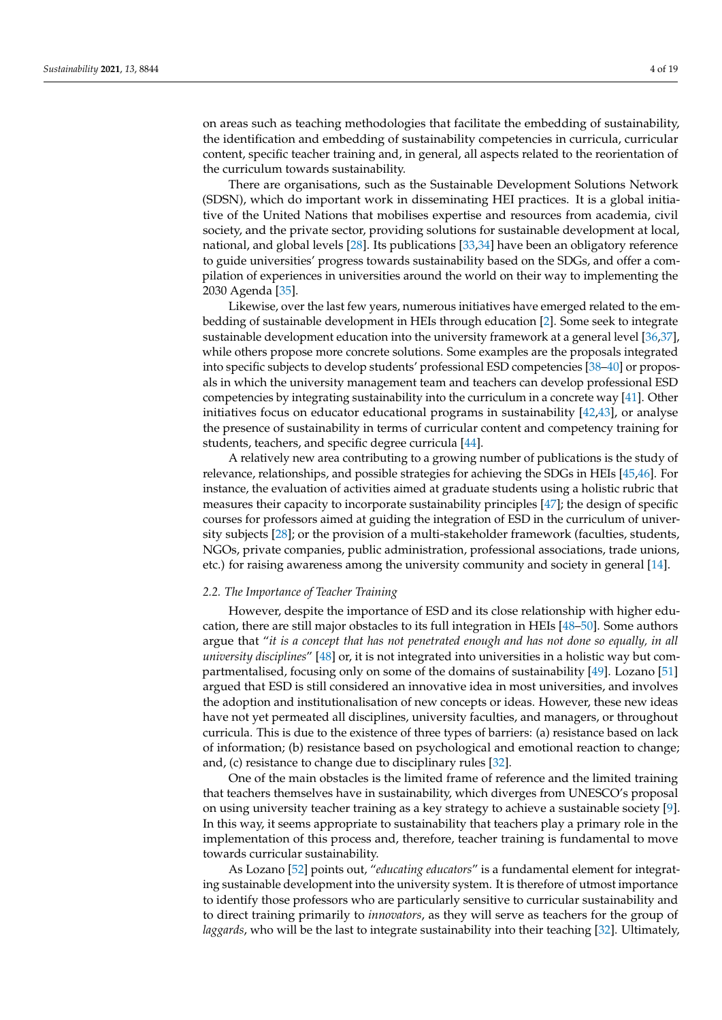on areas such as teaching methodologies that facilitate the embedding of sustainability, the identification and embedding of sustainability competencies in curricula, curricular content, specific teacher training and, in general, all aspects related to the reorientation of the curriculum towards sustainability.

There are organisations, such as the Sustainable Development Solutions Network (SDSN), which do important work in disseminating HEI practices. It is a global initiative of the United Nations that mobilises expertise and resources from academia, civil society, and the private sector, providing solutions for sustainable development at local, national, and global levels [\[28\]](#page-16-3). Its publications [\[33](#page-16-8)[,34\]](#page-16-9) have been an obligatory reference to guide universities' progress towards sustainability based on the SDGs, and offer a compilation of experiences in universities around the world on their way to implementing the 2030 Agenda [\[35\]](#page-16-10).

Likewise, over the last few years, numerous initiatives have emerged related to the embedding of sustainable development in HEIs through education [\[2\]](#page-15-1). Some seek to integrate sustainable development education into the university framework at a general level [\[36](#page-16-11)[,37\]](#page-16-12), while others propose more concrete solutions. Some examples are the proposals integrated into specific subjects to develop students' professional ESD competencies [\[38–](#page-16-13)[40\]](#page-16-14) or proposals in which the university management team and teachers can develop professional ESD competencies by integrating sustainability into the curriculum in a concrete way [\[41\]](#page-16-15). Other initiatives focus on educator educational programs in sustainability [\[42](#page-16-16)[,43\]](#page-16-17), or analyse the presence of sustainability in terms of curricular content and competency training for students, teachers, and specific degree curricula [\[44\]](#page-16-18).

A relatively new area contributing to a growing number of publications is the study of relevance, relationships, and possible strategies for achieving the SDGs in HEIs [\[45,](#page-16-19)[46\]](#page-16-20). For instance, the evaluation of activities aimed at graduate students using a holistic rubric that measures their capacity to incorporate sustainability principles [\[47\]](#page-16-21); the design of specific courses for professors aimed at guiding the integration of ESD in the curriculum of university subjects [\[28\]](#page-16-3); or the provision of a multi-stakeholder framework (faculties, students, NGOs, private companies, public administration, professional associations, trade unions, etc.) for raising awareness among the university community and society in general [\[14\]](#page-15-11).

#### *2.2. The Importance of Teacher Training*

However, despite the importance of ESD and its close relationship with higher education, there are still major obstacles to its full integration in HEIs [\[48](#page-16-22)[–50\]](#page-17-0). Some authors argue that "*it is a concept that has not penetrated enough and has not done so equally, in all university disciplines*" [\[48\]](#page-16-22) or, it is not integrated into universities in a holistic way but compartmentalised, focusing only on some of the domains of sustainability [\[49\]](#page-17-1). Lozano [\[51\]](#page-17-2) argued that ESD is still considered an innovative idea in most universities, and involves the adoption and institutionalisation of new concepts or ideas. However, these new ideas have not yet permeated all disciplines, university faculties, and managers, or throughout curricula. This is due to the existence of three types of barriers: (a) resistance based on lack of information; (b) resistance based on psychological and emotional reaction to change; and, (c) resistance to change due to disciplinary rules [\[32\]](#page-16-7).

One of the main obstacles is the limited frame of reference and the limited training that teachers themselves have in sustainability, which diverges from UNESCO's proposal on using university teacher training as a key strategy to achieve a sustainable society [\[9\]](#page-15-8). In this way, it seems appropriate to sustainability that teachers play a primary role in the implementation of this process and, therefore, teacher training is fundamental to move towards curricular sustainability.

As Lozano [\[52\]](#page-17-3) points out, "*educating educators*" is a fundamental element for integrating sustainable development into the university system. It is therefore of utmost importance to identify those professors who are particularly sensitive to curricular sustainability and to direct training primarily to *innovators*, as they will serve as teachers for the group of *laggards*, who will be the last to integrate sustainability into their teaching [\[32\]](#page-16-7). Ultimately,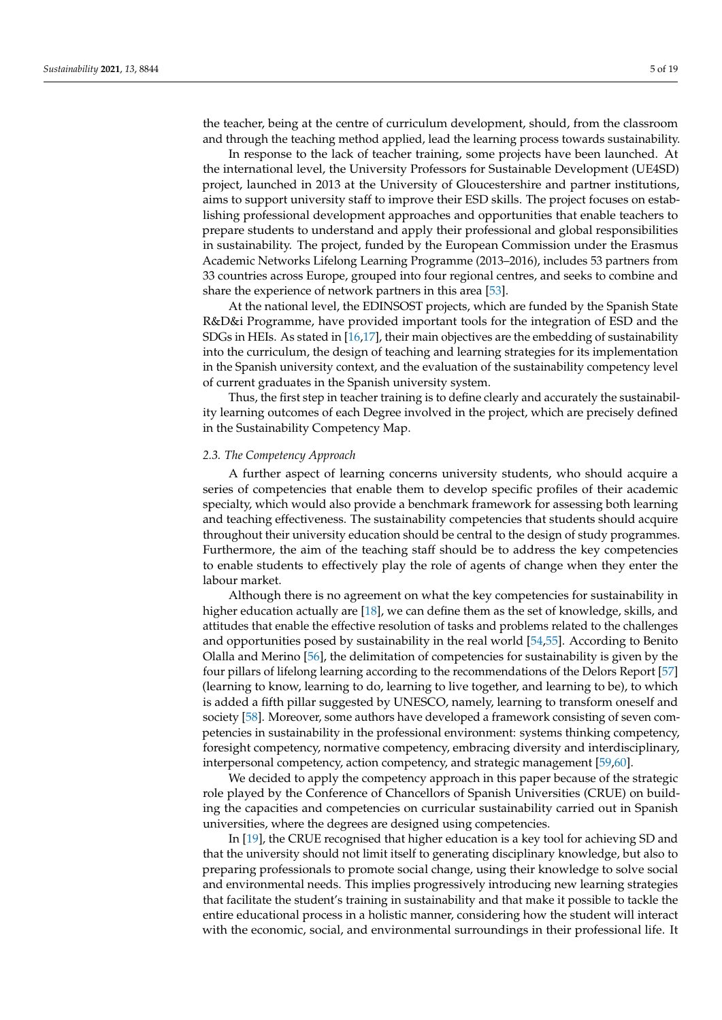the teacher, being at the centre of curriculum development, should, from the classroom and through the teaching method applied, lead the learning process towards sustainability.

In response to the lack of teacher training, some projects have been launched. At the international level, the University Professors for Sustainable Development (UE4SD) project, launched in 2013 at the University of Gloucestershire and partner institutions, aims to support university staff to improve their ESD skills. The project focuses on establishing professional development approaches and opportunities that enable teachers to prepare students to understand and apply their professional and global responsibilities in sustainability. The project, funded by the European Commission under the Erasmus Academic Networks Lifelong Learning Programme (2013–2016), includes 53 partners from 33 countries across Europe, grouped into four regional centres, and seeks to combine and share the experience of network partners in this area [\[53\]](#page-17-4).

At the national level, the EDINSOST projects, which are funded by the Spanish State R&D&i Programme, have provided important tools for the integration of ESD and the SDGs in HEIs. As stated in [\[16,](#page-15-13)[17\]](#page-15-14), their main objectives are the embedding of sustainability into the curriculum, the design of teaching and learning strategies for its implementation in the Spanish university context, and the evaluation of the sustainability competency level of current graduates in the Spanish university system.

Thus, the first step in teacher training is to define clearly and accurately the sustainability learning outcomes of each Degree involved in the project, which are precisely defined in the Sustainability Competency Map.

#### <span id="page-4-0"></span>*2.3. The Competency Approach*

A further aspect of learning concerns university students, who should acquire a series of competencies that enable them to develop specific profiles of their academic specialty, which would also provide a benchmark framework for assessing both learning and teaching effectiveness. The sustainability competencies that students should acquire throughout their university education should be central to the design of study programmes. Furthermore, the aim of the teaching staff should be to address the key competencies to enable students to effectively play the role of agents of change when they enter the labour market.

Although there is no agreement on what the key competencies for sustainability in higher education actually are [\[18\]](#page-15-15), we can define them as the set of knowledge, skills, and attitudes that enable the effective resolution of tasks and problems related to the challenges and opportunities posed by sustainability in the real world [\[54,](#page-17-5)[55\]](#page-17-6). According to Benito Olalla and Merino [\[56\]](#page-17-7), the delimitation of competencies for sustainability is given by the four pillars of lifelong learning according to the recommendations of the Delors Report [\[57\]](#page-17-8) (learning to know, learning to do, learning to live together, and learning to be), to which is added a fifth pillar suggested by UNESCO, namely, learning to transform oneself and society [\[58\]](#page-17-9). Moreover, some authors have developed a framework consisting of seven competencies in sustainability in the professional environment: systems thinking competency, foresight competency, normative competency, embracing diversity and interdisciplinary, interpersonal competency, action competency, and strategic management [\[59,](#page-17-10)[60\]](#page-17-11).

We decided to apply the competency approach in this paper because of the strategic role played by the Conference of Chancellors of Spanish Universities (CRUE) on building the capacities and competencies on curricular sustainability carried out in Spanish universities, where the degrees are designed using competencies.

In [\[19\]](#page-15-16), the CRUE recognised that higher education is a key tool for achieving SD and that the university should not limit itself to generating disciplinary knowledge, but also to preparing professionals to promote social change, using their knowledge to solve social and environmental needs. This implies progressively introducing new learning strategies that facilitate the student's training in sustainability and that make it possible to tackle the entire educational process in a holistic manner, considering how the student will interact with the economic, social, and environmental surroundings in their professional life. It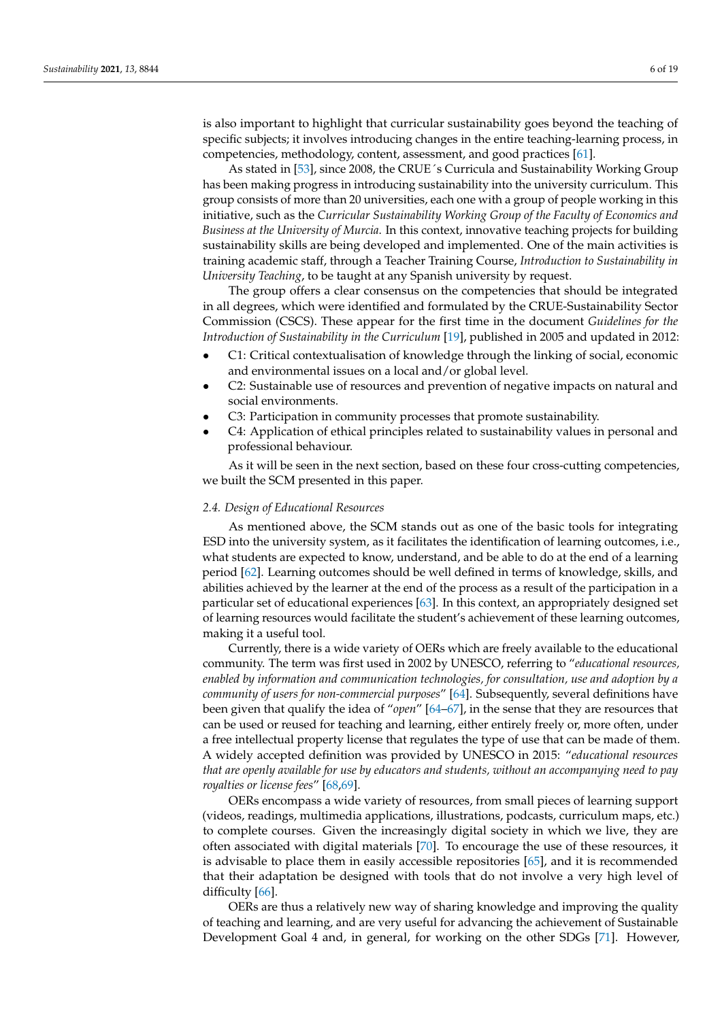is also important to highlight that curricular sustainability goes beyond the teaching of specific subjects; it involves introducing changes in the entire teaching-learning process, in competencies, methodology, content, assessment, and good practices [\[61\]](#page-17-12).

As stated in [\[53\]](#page-17-4), since 2008, the CRUE´s Curricula and Sustainability Working Group has been making progress in introducing sustainability into the university curriculum. This group consists of more than 20 universities, each one with a group of people working in this initiative, such as the *Curricular Sustainability Working Group of the Faculty of Economics and Business at the University of Murcia*. In this context, innovative teaching projects for building sustainability skills are being developed and implemented. One of the main activities is training academic staff, through a Teacher Training Course, *Introduction to Sustainability in University Teaching*, to be taught at any Spanish university by request.

The group offers a clear consensus on the competencies that should be integrated in all degrees, which were identified and formulated by the CRUE-Sustainability Sector Commission (CSCS). These appear for the first time in the document *Guidelines for the Introduction of Sustainability in the Curriculum* [\[19\]](#page-15-16), published in 2005 and updated in 2012:

- C1: Critical contextualisation of knowledge through the linking of social, economic and environmental issues on a local and/or global level.
- C2: Sustainable use of resources and prevention of negative impacts on natural and social environments.
- C3: Participation in community processes that promote sustainability.
- C4: Application of ethical principles related to sustainability values in personal and professional behaviour.

As it will be seen in the next section, based on these four cross-cutting competencies, we built the SCM presented in this paper.

#### *2.4. Design of Educational Resources*

As mentioned above, the SCM stands out as one of the basic tools for integrating ESD into the university system, as it facilitates the identification of learning outcomes, i.e., what students are expected to know, understand, and be able to do at the end of a learning period [\[62\]](#page-17-13). Learning outcomes should be well defined in terms of knowledge, skills, and abilities achieved by the learner at the end of the process as a result of the participation in a particular set of educational experiences [\[63\]](#page-17-14). In this context, an appropriately designed set of learning resources would facilitate the student's achievement of these learning outcomes, making it a useful tool.

Currently, there is a wide variety of OERs which are freely available to the educational community. The term was first used in 2002 by UNESCO, referring to "*educational resources, enabled by information and communication technologies, for consultation, use and adoption by a community of users for non-commercial purposes*" [\[64\]](#page-17-15). Subsequently, several definitions have been given that qualify the idea of "*open*" [\[64](#page-17-15)[–67\]](#page-17-16), in the sense that they are resources that can be used or reused for teaching and learning, either entirely freely or, more often, under a free intellectual property license that regulates the type of use that can be made of them. A widely accepted definition was provided by UNESCO in 2015: "*educational resources that are openly available for use by educators and students, without an accompanying need to pay royalties or license fees*" [\[68,](#page-17-17)[69\]](#page-17-18).

OERs encompass a wide variety of resources, from small pieces of learning support (videos, readings, multimedia applications, illustrations, podcasts, curriculum maps, etc.) to complete courses. Given the increasingly digital society in which we live, they are often associated with digital materials [\[70\]](#page-17-19). To encourage the use of these resources, it is advisable to place them in easily accessible repositories [\[65\]](#page-17-20), and it is recommended that their adaptation be designed with tools that do not involve a very high level of difficulty [\[66\]](#page-17-21).

OERs are thus a relatively new way of sharing knowledge and improving the quality of teaching and learning, and are very useful for advancing the achievement of Sustainable Development Goal 4 and, in general, for working on the other SDGs [\[71\]](#page-17-22). However,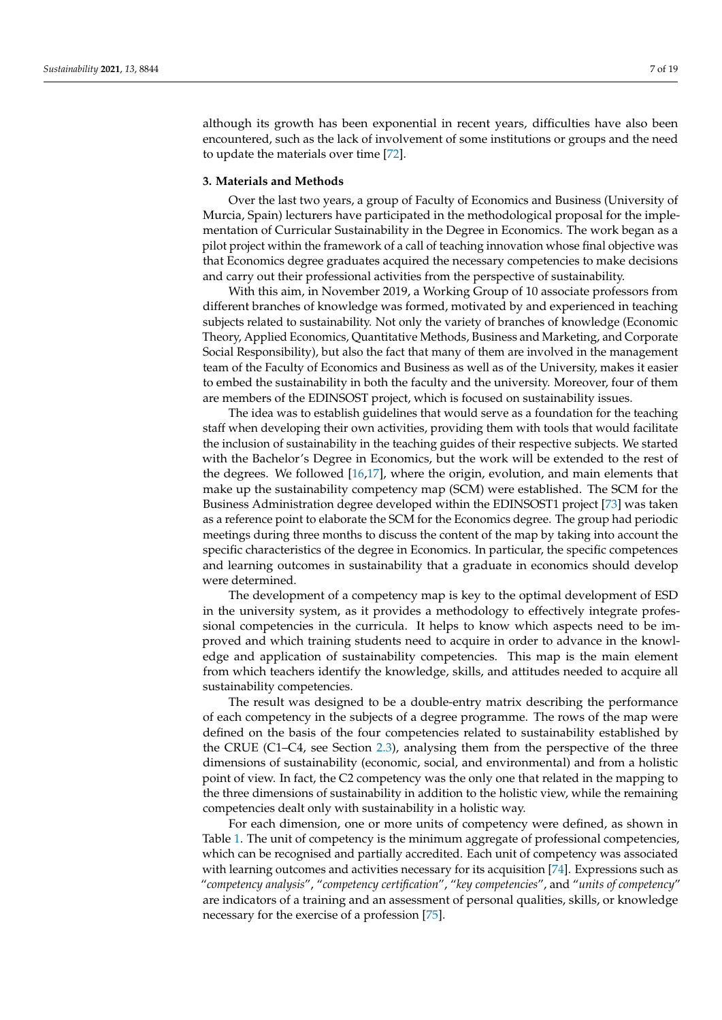although its growth has been exponential in recent years, difficulties have also been encountered, such as the lack of involvement of some institutions or groups and the need to update the materials over time [\[72\]](#page-17-23).

#### <span id="page-6-0"></span>**3. Materials and Methods**

Over the last two years, a group of Faculty of Economics and Business (University of Murcia, Spain) lecturers have participated in the methodological proposal for the implementation of Curricular Sustainability in the Degree in Economics. The work began as a pilot project within the framework of a call of teaching innovation whose final objective was that Economics degree graduates acquired the necessary competencies to make decisions and carry out their professional activities from the perspective of sustainability.

With this aim, in November 2019, a Working Group of 10 associate professors from different branches of knowledge was formed, motivated by and experienced in teaching subjects related to sustainability. Not only the variety of branches of knowledge (Economic Theory, Applied Economics, Quantitative Methods, Business and Marketing, and Corporate Social Responsibility), but also the fact that many of them are involved in the management team of the Faculty of Economics and Business as well as of the University, makes it easier to embed the sustainability in both the faculty and the university. Moreover, four of them are members of the EDINSOST project, which is focused on sustainability issues.

The idea was to establish guidelines that would serve as a foundation for the teaching staff when developing their own activities, providing them with tools that would facilitate the inclusion of sustainability in the teaching guides of their respective subjects. We started with the Bachelor's Degree in Economics, but the work will be extended to the rest of the degrees. We followed [\[16](#page-15-13)[,17\]](#page-15-14), where the origin, evolution, and main elements that make up the sustainability competency map (SCM) were established. The SCM for the Business Administration degree developed within the EDINSOST1 project [\[73\]](#page-17-24) was taken as a reference point to elaborate the SCM for the Economics degree. The group had periodic meetings during three months to discuss the content of the map by taking into account the specific characteristics of the degree in Economics. In particular, the specific competences and learning outcomes in sustainability that a graduate in economics should develop were determined.

The development of a competency map is key to the optimal development of ESD in the university system, as it provides a methodology to effectively integrate professional competencies in the curricula. It helps to know which aspects need to be improved and which training students need to acquire in order to advance in the knowledge and application of sustainability competencies. This map is the main element from which teachers identify the knowledge, skills, and attitudes needed to acquire all sustainability competencies.

The result was designed to be a double-entry matrix describing the performance of each competency in the subjects of a degree programme. The rows of the map were defined on the basis of the four competencies related to sustainability established by the CRUE (C1–C4, see Section [2.3\)](#page-4-0), analysing them from the perspective of the three dimensions of sustainability (economic, social, and environmental) and from a holistic point of view. In fact, the C2 competency was the only one that related in the mapping to the three dimensions of sustainability in addition to the holistic view, while the remaining competencies dealt only with sustainability in a holistic way.

For each dimension, one or more units of competency were defined, as shown in Table [1.](#page-7-0) The unit of competency is the minimum aggregate of professional competencies, which can be recognised and partially accredited. Each unit of competency was associated with learning outcomes and activities necessary for its acquisition [\[74\]](#page-17-25). Expressions such as "*competency analysis*", "*competency certification*", "*key competencies*", and "*units of competency*" are indicators of a training and an assessment of personal qualities, skills, or knowledge necessary for the exercise of a profession [\[75\]](#page-17-26).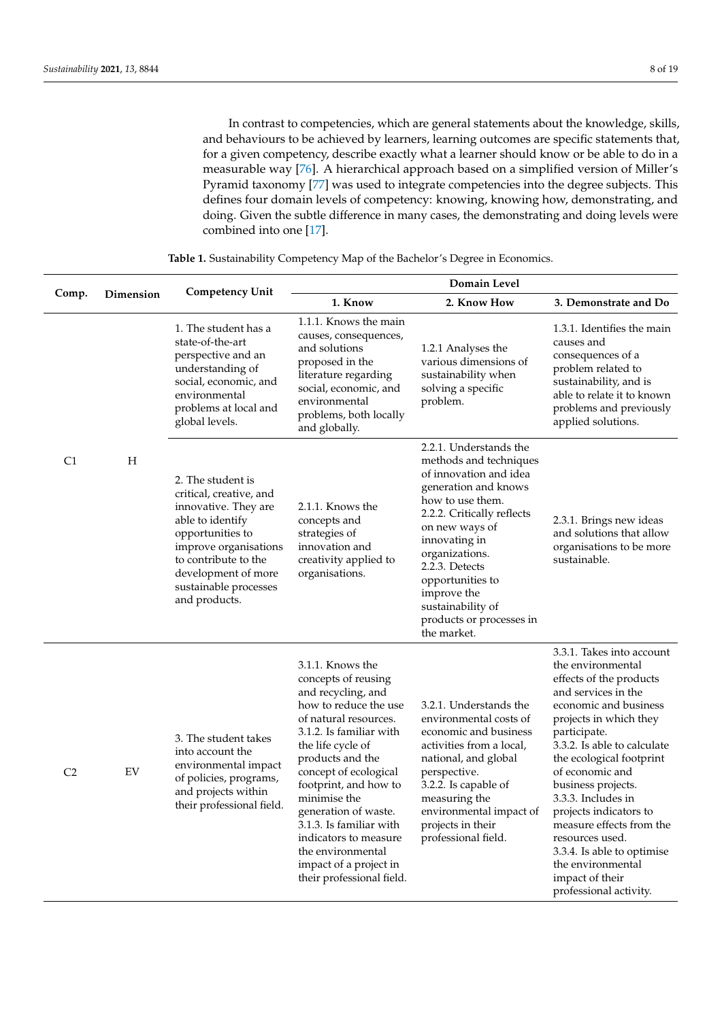In contrast to competencies, which are general statements about the knowledge, skills, and behaviours to be achieved by learners, learning outcomes are specific statements that, for a given competency, describe exactly what a learner should know or be able to do in a measurable way [\[76\]](#page-17-27). A hierarchical approach based on a simplified version of Miller's Pyramid taxonomy [\[77\]](#page-17-28) was used to integrate competencies into the degree subjects. This defines four domain levels of competency: knowing, knowing how, demonstrating, and doing. Given the subtle difference in many cases, the demonstrating and doing levels were combined into one [\[17\]](#page-15-14).

<span id="page-7-0"></span>

| Comp.          | Dimension | <b>Competency Unit</b>                                                                                                                                                                                                         | Domain Level                                                                                                                                                                                                                                                                                                                                                                                                  |                                                                                                                                                                                                                                                                                                                                |                                                                                                                                                                                                                                                                                                                                                                                                                                                                        |  |  |  |  |  |
|----------------|-----------|--------------------------------------------------------------------------------------------------------------------------------------------------------------------------------------------------------------------------------|---------------------------------------------------------------------------------------------------------------------------------------------------------------------------------------------------------------------------------------------------------------------------------------------------------------------------------------------------------------------------------------------------------------|--------------------------------------------------------------------------------------------------------------------------------------------------------------------------------------------------------------------------------------------------------------------------------------------------------------------------------|------------------------------------------------------------------------------------------------------------------------------------------------------------------------------------------------------------------------------------------------------------------------------------------------------------------------------------------------------------------------------------------------------------------------------------------------------------------------|--|--|--|--|--|
|                |           |                                                                                                                                                                                                                                | 1. Know                                                                                                                                                                                                                                                                                                                                                                                                       | 2. Know How                                                                                                                                                                                                                                                                                                                    | 3. Demonstrate and Do                                                                                                                                                                                                                                                                                                                                                                                                                                                  |  |  |  |  |  |
| C <sub>1</sub> |           | 1. The student has a<br>state-of-the-art<br>perspective and an<br>understanding of<br>social, economic, and<br>environmental<br>problems at local and<br>global levels.                                                        | 1.1.1. Knows the main<br>causes, consequences,<br>and solutions<br>proposed in the<br>literature regarding<br>social, economic, and<br>environmental<br>problems, both locally<br>and globally.                                                                                                                                                                                                               | 1.2.1 Analyses the<br>various dimensions of<br>sustainability when<br>solving a specific<br>problem.                                                                                                                                                                                                                           | 1.3.1. Identifies the main<br>causes and<br>consequences of a<br>problem related to<br>sustainability, and is<br>able to relate it to known<br>problems and previously<br>applied solutions.                                                                                                                                                                                                                                                                           |  |  |  |  |  |
|                | Н         | 2. The student is<br>critical, creative, and<br>innovative. They are<br>able to identify<br>opportunities to<br>improve organisations<br>to contribute to the<br>development of more<br>sustainable processes<br>and products. | 2.1.1. Knows the<br>concepts and<br>strategies of<br>innovation and<br>creativity applied to<br>organisations.                                                                                                                                                                                                                                                                                                | 2.2.1. Understands the<br>methods and techniques<br>of innovation and idea<br>generation and knows<br>how to use them.<br>2.2.2. Critically reflects<br>on new ways of<br>innovating in<br>organizations.<br>2.2.3. Detects<br>opportunities to<br>improve the<br>sustainability of<br>products or processes in<br>the market. | 2.3.1. Brings new ideas<br>and solutions that allow<br>organisations to be more<br>sustainable.                                                                                                                                                                                                                                                                                                                                                                        |  |  |  |  |  |
| C <sub>2</sub> | EV        | 3. The student takes<br>into account the<br>environmental impact<br>of policies, programs,<br>and projects within<br>their professional field.                                                                                 | 3.1.1. Knows the<br>concepts of reusing<br>and recycling, and<br>how to reduce the use<br>of natural resources.<br>3.1.2. Is familiar with<br>the life cycle of<br>products and the<br>concept of ecological<br>footprint, and how to<br>minimise the<br>generation of waste.<br>3.1.3. Is familiar with<br>indicators to measure<br>the environmental<br>impact of a project in<br>their professional field. | 3.2.1. Understands the<br>environmental costs of<br>economic and business<br>activities from a local,<br>national, and global<br>perspective.<br>3.2.2. Is capable of<br>measuring the<br>environmental impact of<br>projects in their<br>professional field.                                                                  | 3.3.1. Takes into account<br>the environmental<br>effects of the products<br>and services in the<br>economic and business<br>projects in which they<br>participate.<br>3.3.2. Is able to calculate<br>the ecological footprint<br>of economic and<br>business projects.<br>3.3.3. Includes in<br>projects indicators to<br>measure effects from the<br>resources used.<br>3.3.4. Is able to optimise<br>the environmental<br>impact of their<br>professional activity. |  |  |  |  |  |

**Table 1.** Sustainability Competency Map of the Bachelor's Degree in Economics.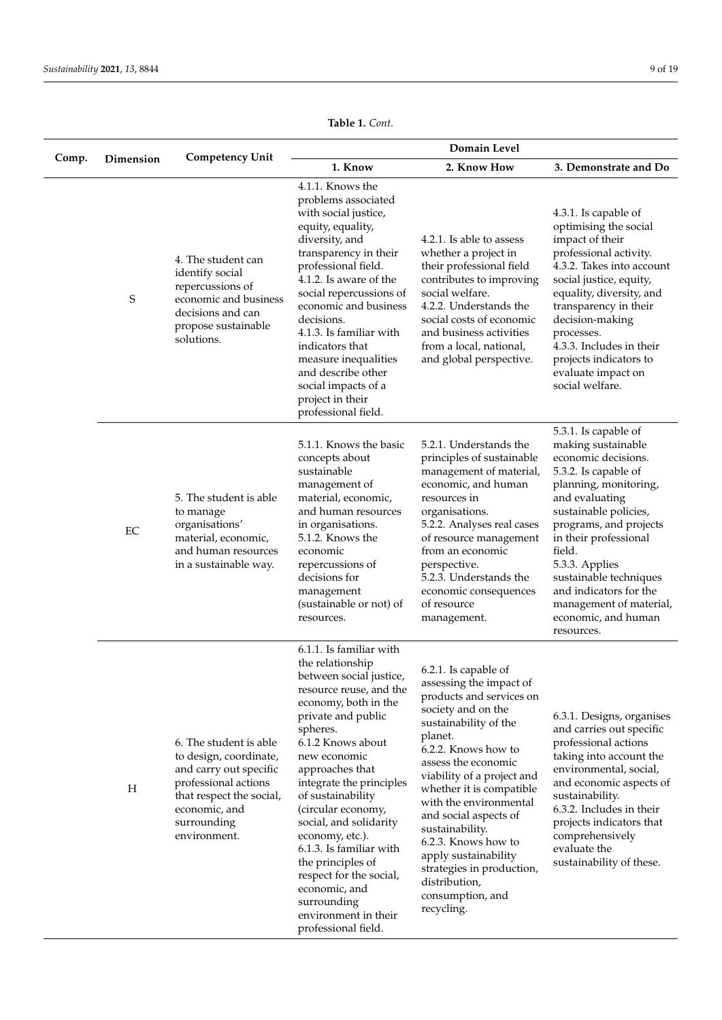|       |           |                                                                                                                                                                                | Domain Level                                                                                                                                                                                                                                                                                                                                                                                                                                                               |                                                                                                                                                                                                                                                                                                                                                                                                                                                    |                                                                                                                                                                                                                                                                                                                                                                  |  |  |  |  |  |
|-------|-----------|--------------------------------------------------------------------------------------------------------------------------------------------------------------------------------|----------------------------------------------------------------------------------------------------------------------------------------------------------------------------------------------------------------------------------------------------------------------------------------------------------------------------------------------------------------------------------------------------------------------------------------------------------------------------|----------------------------------------------------------------------------------------------------------------------------------------------------------------------------------------------------------------------------------------------------------------------------------------------------------------------------------------------------------------------------------------------------------------------------------------------------|------------------------------------------------------------------------------------------------------------------------------------------------------------------------------------------------------------------------------------------------------------------------------------------------------------------------------------------------------------------|--|--|--|--|--|
| Comp. | Dimension | <b>Competency Unit</b>                                                                                                                                                         | 1. Know                                                                                                                                                                                                                                                                                                                                                                                                                                                                    | 2. Know How                                                                                                                                                                                                                                                                                                                                                                                                                                        | 3. Demonstrate and Do                                                                                                                                                                                                                                                                                                                                            |  |  |  |  |  |
|       | S         | 4. The student can<br>identify social<br>repercussions of<br>economic and business<br>decisions and can<br>propose sustainable<br>solutions.                                   | 4.1.1. Knows the<br>problems associated<br>with social justice,<br>equity, equality,<br>diversity, and<br>transparency in their<br>professional field.<br>4.1.2. Is aware of the<br>social repercussions of<br>economic and business<br>decisions.<br>4.1.3. Is familiar with<br>indicators that<br>measure inequalities<br>and describe other<br>social impacts of a<br>project in their<br>professional field.                                                           | 4.2.1. Is able to assess<br>whether a project in<br>their professional field<br>contributes to improving<br>social welfare.<br>4.2.2. Understands the<br>social costs of economic<br>and business activities<br>from a local, national,<br>and global perspective.                                                                                                                                                                                 | 4.3.1. Is capable of<br>optimising the social<br>impact of their<br>professional activity.<br>4.3.2. Takes into account<br>social justice, equity,<br>equality, diversity, and<br>transparency in their<br>decision-making<br>processes.<br>4.3.3. Includes in their<br>projects indicators to<br>evaluate impact on<br>social welfare.                          |  |  |  |  |  |
|       | EC        | 5. The student is able<br>to manage<br>organisations'<br>material, economic,<br>and human resources<br>in a sustainable way.                                                   | 5.1.1. Knows the basic<br>concepts about<br>sustainable<br>management of<br>material, economic,<br>and human resources<br>in organisations.<br>5.1.2. Knows the<br>economic<br>repercussions of<br>decisions for<br>management<br>(sustainable or not) of<br>resources.                                                                                                                                                                                                    | 5.2.1. Understands the<br>principles of sustainable<br>management of material,<br>economic, and human<br>resources in<br>organisations.<br>5.2.2. Analyses real cases<br>of resource management<br>from an economic<br>perspective.<br>5.2.3. Understands the<br>economic consequences<br>of resource<br>management.                                                                                                                               | 5.3.1. Is capable of<br>making sustainable<br>economic decisions.<br>5.3.2. Is capable of<br>planning, monitoring,<br>and evaluating<br>sustainable policies,<br>programs, and projects<br>in their professional<br>field.<br>5.3.3. Applies<br>sustainable techniques<br>and indicators for the<br>management of material,<br>economic, and human<br>resources. |  |  |  |  |  |
|       | $H_{\rm}$ | 6. The student is able<br>to design, coordinate,<br>and carry out specific<br>professional actions<br>that respect the social,<br>economic, and<br>surrounding<br>environment. | 6.1.1. Is familiar with<br>the relationship<br>between social justice,<br>resource reuse, and the<br>economy, both in the<br>private and public<br>spheres.<br>6.1.2 Knows about<br>new economic<br>approaches that<br>integrate the principles<br>of sustainability<br>(circular economy,<br>social, and solidarity<br>economy, etc.).<br>6.1.3. Is familiar with<br>the principles of<br>respect for the social,<br>economic, and<br>surrounding<br>environment in their | 6.2.1. Is capable of<br>assessing the impact of<br>products and services on<br>society and on the<br>sustainability of the<br>planet.<br>6.2.2. Knows how to<br>assess the economic<br>viability of a project and<br>whether it is compatible<br>with the environmental<br>and social aspects of<br>sustainability.<br>6.2.3. Knows how to<br>apply sustainability<br>strategies in production,<br>distribution,<br>consumption, and<br>recycling. | 6.3.1. Designs, organises<br>and carries out specific<br>professional actions<br>taking into account the<br>environmental, social,<br>and economic aspects of<br>sustainability.<br>6.3.2. Includes in their<br>projects indicators that<br>comprehensively<br>evaluate the<br>sustainability of these.                                                          |  |  |  |  |  |

professional field.

**Table 1.** *Cont.*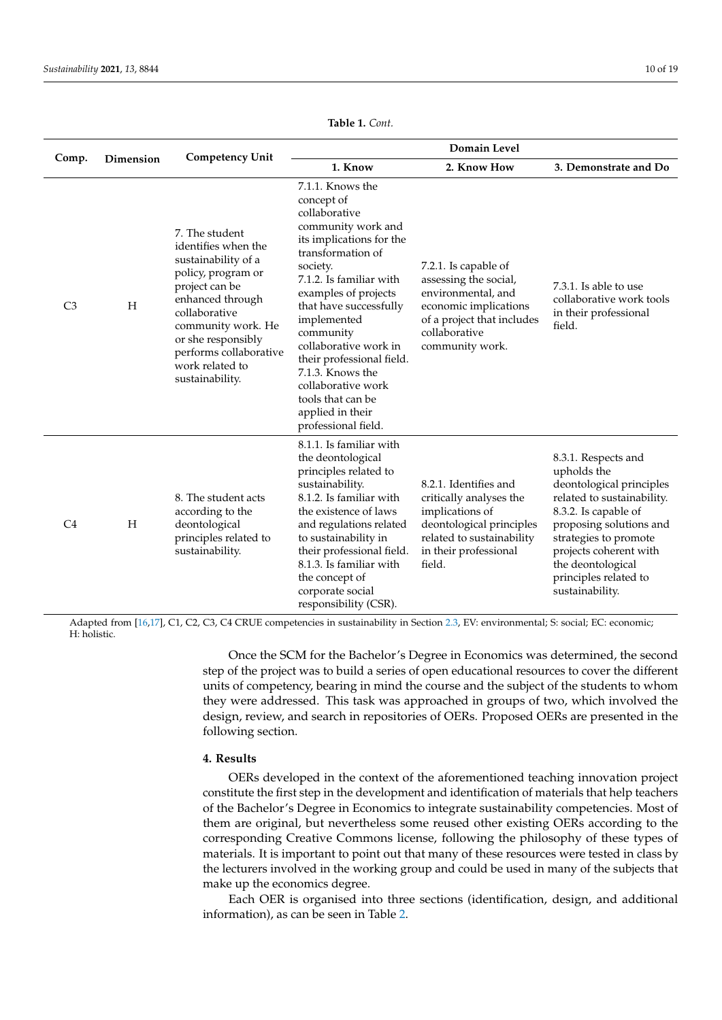|                |           | <b>Competency Unit</b>                                                                                                                                                                                                                                | Domain Level                                                                                                                                                                                                                                                                                                                                                                                                |                                                                                                                                                                 |                                                                                                                                                                                                                                                                     |  |  |  |  |
|----------------|-----------|-------------------------------------------------------------------------------------------------------------------------------------------------------------------------------------------------------------------------------------------------------|-------------------------------------------------------------------------------------------------------------------------------------------------------------------------------------------------------------------------------------------------------------------------------------------------------------------------------------------------------------------------------------------------------------|-----------------------------------------------------------------------------------------------------------------------------------------------------------------|---------------------------------------------------------------------------------------------------------------------------------------------------------------------------------------------------------------------------------------------------------------------|--|--|--|--|
| Comp.          | Dimension |                                                                                                                                                                                                                                                       | 1. Know                                                                                                                                                                                                                                                                                                                                                                                                     | 2. Know How                                                                                                                                                     | 3. Demonstrate and Do                                                                                                                                                                                                                                               |  |  |  |  |
| C <sub>3</sub> | H         | 7. The student<br>identifies when the<br>sustainability of a<br>policy, program or<br>project can be<br>enhanced through<br>collaborative<br>community work. He<br>or she responsibly<br>performs collaborative<br>work related to<br>sustainability. | 7.1.1. Knows the<br>concept of<br>collaborative<br>community work and<br>its implications for the<br>transformation of<br>society.<br>7.1.2. Is familiar with<br>examples of projects<br>that have successfully<br>implemented<br>community<br>collaborative work in<br>their professional field.<br>7.1.3. Knows the<br>collaborative work<br>tools that can be<br>applied in their<br>professional field. | 7.2.1. Is capable of<br>assessing the social,<br>environmental, and<br>economic implications<br>of a project that includes<br>collaborative<br>community work.  | 7.3.1. Is able to use<br>collaborative work tools<br>in their professional<br>field.                                                                                                                                                                                |  |  |  |  |
| C <sub>4</sub> | H         | 8. The student acts<br>according to the<br>deontological<br>principles related to<br>sustainability.                                                                                                                                                  | 8.1.1. Is familiar with<br>the deontological<br>principles related to<br>sustainability.<br>8.1.2. Is familiar with<br>the existence of laws<br>and regulations related<br>to sustainability in<br>their professional field.<br>8.1.3. Is familiar with<br>the concept of<br>corporate social<br>responsibility (CSR).                                                                                      | 8.2.1. Identifies and<br>critically analyses the<br>implications of<br>deontological principles<br>related to sustainability<br>in their professional<br>field. | 8.3.1. Respects and<br>upholds the<br>deontological principles<br>related to sustainability.<br>8.3.2. Is capable of<br>proposing solutions and<br>strategies to promote<br>projects coherent with<br>the deontological<br>principles related to<br>sustainability. |  |  |  |  |

**Table 1.** *Cont.*

Adapted from [\[16,](#page-15-13)[17\]](#page-15-14), C1, C2, C3, C4 CRUE competencies in sustainability in Section [2.3,](#page-4-0) EV: environmental; S: social; EC: economic; H: holistic.

> Once the SCM for the Bachelor's Degree in Economics was determined, the second step of the project was to build a series of open educational resources to cover the different units of competency, bearing in mind the course and the subject of the students to whom they were addressed. This task was approached in groups of two, which involved the design, review, and search in repositories of OERs. Proposed OERs are presented in the following section.

### <span id="page-9-0"></span>**4. Results**

OERs developed in the context of the aforementioned teaching innovation project constitute the first step in the development and identification of materials that help teachers of the Bachelor's Degree in Economics to integrate sustainability competencies. Most of them are original, but nevertheless some reused other existing OERs according to the corresponding Creative Commons license, following the philosophy of these types of materials. It is important to point out that many of these resources were tested in class by the lecturers involved in the working group and could be used in many of the subjects that make up the economics degree.

Each OER is organised into three sections (identification, design, and additional information), as can be seen in Table [2.](#page-10-0)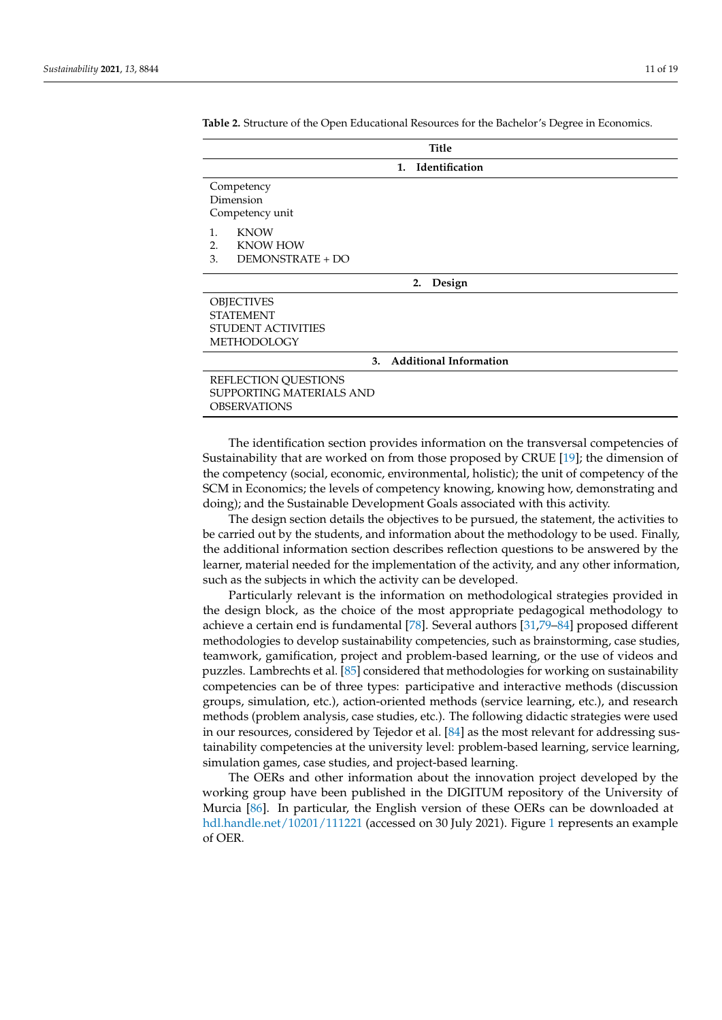| <b>Title</b>                                                                             |  |  |  |  |  |  |  |  |
|------------------------------------------------------------------------------------------|--|--|--|--|--|--|--|--|
| Identification<br>$\mathbf{1}$ .                                                         |  |  |  |  |  |  |  |  |
| Competency<br>Dimension<br>Competency unit                                               |  |  |  |  |  |  |  |  |
| <b>KNOW</b><br>1.<br><b>KNOW HOW</b><br>2.<br>3.<br>DEMONSTRATE + DO                     |  |  |  |  |  |  |  |  |
| Design<br>2.                                                                             |  |  |  |  |  |  |  |  |
| <b>OBJECTIVES</b><br><b>STATEMENT</b><br><b>STUDENT ACTIVITIES</b><br><b>METHODOLOGY</b> |  |  |  |  |  |  |  |  |
| <b>Additional Information</b><br>3.                                                      |  |  |  |  |  |  |  |  |
| REFLECTION QUESTIONS<br><b>SUPPORTING MATERIALS AND</b><br><b>OBSERVATIONS</b>           |  |  |  |  |  |  |  |  |

<span id="page-10-0"></span>**Table 2.** Structure of the Open Educational Resources for the Bachelor's Degree in Economics.

The identification section provides information on the transversal competencies of Sustainability that are worked on from those proposed by CRUE [\[19\]](#page-15-16); the dimension of the competency (social, economic, environmental, holistic); the unit of competency of the SCM in Economics; the levels of competency knowing, knowing how, demonstrating and doing); and the Sustainable Development Goals associated with this activity.

The design section details the objectives to be pursued, the statement, the activities to be carried out by the students, and information about the methodology to be used. Finally, the additional information section describes reflection questions to be answered by the learner, material needed for the implementation of the activity, and any other information, such as the subjects in which the activity can be developed.

Particularly relevant is the information on methodological strategies provided in the design block, as the choice of the most appropriate pedagogical methodology to achieve a certain end is fundamental [\[78\]](#page-17-29). Several authors [\[31,](#page-16-6)[79–](#page-18-0)[84\]](#page-18-1) proposed different methodologies to develop sustainability competencies, such as brainstorming, case studies, teamwork, gamification, project and problem-based learning, or the use of videos and puzzles. Lambrechts et al. [\[85\]](#page-18-2) considered that methodologies for working on sustainability competencies can be of three types: participative and interactive methods (discussion groups, simulation, etc.), action-oriented methods (service learning, etc.), and research methods (problem analysis, case studies, etc.). The following didactic strategies were used in our resources, considered by Tejedor et al. [\[84\]](#page-18-1) as the most relevant for addressing sustainability competencies at the university level: problem-based learning, service learning, simulation games, case studies, and project-based learning.

The OERs and other information about the innovation project developed by the working group have been published in the DIGITUM repository of the University of Murcia [\[86\]](#page-18-3). In particular, the English version of these OERs can be downloaded at <hdl.handle.net/10201/111221> (accessed on 30 July 2021). Figure [1](#page-11-0) represents an example of OER.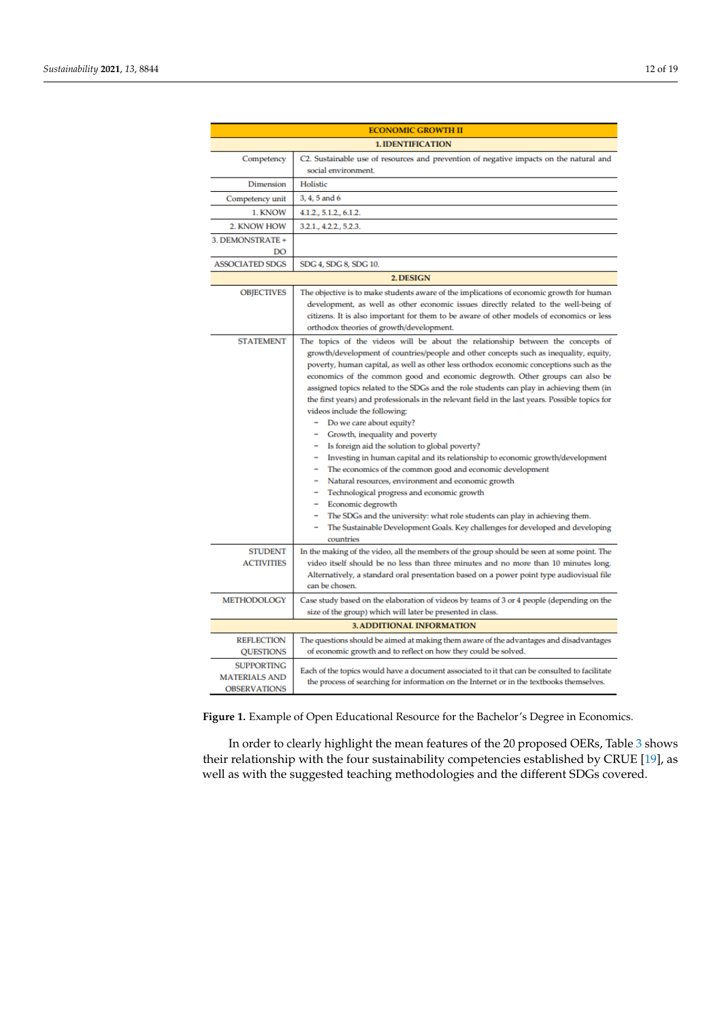<span id="page-11-0"></span>

| <b>ECONOMIC GROWTH II</b>                                        |                                                                                                                                                                                                                                                                                                                                                                                                                                                                                                                                                                                                                                                                                                                                                                                                                                                                                                                                                                                                                                                                                                                                                           |  |  |  |  |  |  |  |
|------------------------------------------------------------------|-----------------------------------------------------------------------------------------------------------------------------------------------------------------------------------------------------------------------------------------------------------------------------------------------------------------------------------------------------------------------------------------------------------------------------------------------------------------------------------------------------------------------------------------------------------------------------------------------------------------------------------------------------------------------------------------------------------------------------------------------------------------------------------------------------------------------------------------------------------------------------------------------------------------------------------------------------------------------------------------------------------------------------------------------------------------------------------------------------------------------------------------------------------|--|--|--|--|--|--|--|
| <b>1. IDENTIFICATION</b>                                         |                                                                                                                                                                                                                                                                                                                                                                                                                                                                                                                                                                                                                                                                                                                                                                                                                                                                                                                                                                                                                                                                                                                                                           |  |  |  |  |  |  |  |
| Competency                                                       | C2. Sustainable use of resources and prevention of negative impacts on the natural and<br>social environment.                                                                                                                                                                                                                                                                                                                                                                                                                                                                                                                                                                                                                                                                                                                                                                                                                                                                                                                                                                                                                                             |  |  |  |  |  |  |  |
| <b>Dimension</b>                                                 | Holistic                                                                                                                                                                                                                                                                                                                                                                                                                                                                                                                                                                                                                                                                                                                                                                                                                                                                                                                                                                                                                                                                                                                                                  |  |  |  |  |  |  |  |
| Competency unit                                                  | 3, 4, 5 and 6                                                                                                                                                                                                                                                                                                                                                                                                                                                                                                                                                                                                                                                                                                                                                                                                                                                                                                                                                                                                                                                                                                                                             |  |  |  |  |  |  |  |
| 1. KNOW                                                          | 4.1.2., 5.1.2., 6.1.2.                                                                                                                                                                                                                                                                                                                                                                                                                                                                                                                                                                                                                                                                                                                                                                                                                                                                                                                                                                                                                                                                                                                                    |  |  |  |  |  |  |  |
| 2. KNOW HOW                                                      | 3.2.1., 4.2.2., 5.2.3.                                                                                                                                                                                                                                                                                                                                                                                                                                                                                                                                                                                                                                                                                                                                                                                                                                                                                                                                                                                                                                                                                                                                    |  |  |  |  |  |  |  |
| 3. DEMONSTRATE +<br>DO                                           |                                                                                                                                                                                                                                                                                                                                                                                                                                                                                                                                                                                                                                                                                                                                                                                                                                                                                                                                                                                                                                                                                                                                                           |  |  |  |  |  |  |  |
| <b>ASSOCIATED SDGS</b>                                           | SDG 4, SDG 8, SDG 10.                                                                                                                                                                                                                                                                                                                                                                                                                                                                                                                                                                                                                                                                                                                                                                                                                                                                                                                                                                                                                                                                                                                                     |  |  |  |  |  |  |  |
|                                                                  | 2. DESIGN                                                                                                                                                                                                                                                                                                                                                                                                                                                                                                                                                                                                                                                                                                                                                                                                                                                                                                                                                                                                                                                                                                                                                 |  |  |  |  |  |  |  |
| <b>OBJECTIVES</b>                                                | The objective is to make students aware of the implications of economic growth for human<br>development, as well as other economic issues directly related to the well-being of<br>citizens. It is also important for them to be aware of other models of economics or less<br>orthodox theories of growth/development.                                                                                                                                                                                                                                                                                                                                                                                                                                                                                                                                                                                                                                                                                                                                                                                                                                   |  |  |  |  |  |  |  |
| <b>STATEMENT</b>                                                 | The topics of the videos will be about the relationship between the concepts of<br>growth/development of countries/people and other concepts such as inequality, equity,<br>poverty, human capital, as well as other less orthodox economic conceptions such as the<br>economics of the common good and economic degrowth. Other groups can also be<br>assigned topics related to the SDGs and the role students can play in achieving them (in<br>the first years) and professionals in the relevant field in the last years. Possible topics for<br>videos include the following:<br>Do we care about equity?<br>Growth, inequality and poverty<br>Is foreign aid the solution to global poverty?<br>Investing in human capital and its relationship to economic growth/development<br>The economics of the common good and economic development<br>Natural resources, environment and economic growth<br>Technological progress and economic growth<br>Economic degrowth<br>The SDGs and the university: what role students can play in achieving them.<br>The Sustainable Development Goals. Key challenges for developed and developing<br>countries |  |  |  |  |  |  |  |
| <b>STUDENT</b><br><b>ACTIVITIES</b>                              | In the making of the video, all the members of the group should be seen at some point. The<br>video itself should be no less than three minutes and no more than 10 minutes long.<br>Alternatively, a standard oral presentation based on a power point type audiovisual file<br>can be chosen.                                                                                                                                                                                                                                                                                                                                                                                                                                                                                                                                                                                                                                                                                                                                                                                                                                                           |  |  |  |  |  |  |  |
| <b>METHODOLOGY</b>                                               | Case study based on the elaboration of videos by teams of 3 or 4 people (depending on the<br>size of the group) which will later be presented in class.                                                                                                                                                                                                                                                                                                                                                                                                                                                                                                                                                                                                                                                                                                                                                                                                                                                                                                                                                                                                   |  |  |  |  |  |  |  |
| <b>3. ADDITIONAL INFORMATION</b>                                 |                                                                                                                                                                                                                                                                                                                                                                                                                                                                                                                                                                                                                                                                                                                                                                                                                                                                                                                                                                                                                                                                                                                                                           |  |  |  |  |  |  |  |
| <b>REFLECTION</b><br><b>QUESTIONS</b>                            | The questions should be aimed at making them aware of the advantages and disadvantages<br>of economic growth and to reflect on how they could be solved.                                                                                                                                                                                                                                                                                                                                                                                                                                                                                                                                                                                                                                                                                                                                                                                                                                                                                                                                                                                                  |  |  |  |  |  |  |  |
| <b>SUPPORTING</b><br><b>MATERIALS AND</b><br><b>OBSERVATIONS</b> | Each of the topics would have a document associated to it that can be consulted to facilitate<br>the process of searching for information on the Internet or in the textbooks themselves.                                                                                                                                                                                                                                                                                                                                                                                                                                                                                                                                                                                                                                                                                                                                                                                                                                                                                                                                                                 |  |  |  |  |  |  |  |

**Figure 1.** Example of Open Educational Resource for the Bachelor's Degree in Economics. **Figure 1.** Example of Open Educational Resource for the Bachelor's Degree in Economics.

In order to clearly highlight the mean features of the 20 proposed OERs[, T](#page-12-0)able 3 In order to clearly highlight the mean features of the 20 proposed OERs, Table 3 shows their relationship with the four sustainability competencies established by CRUE [\[19\]](#page-15-16), as well as with the suggested teaching methodologies and the different SDGs covered.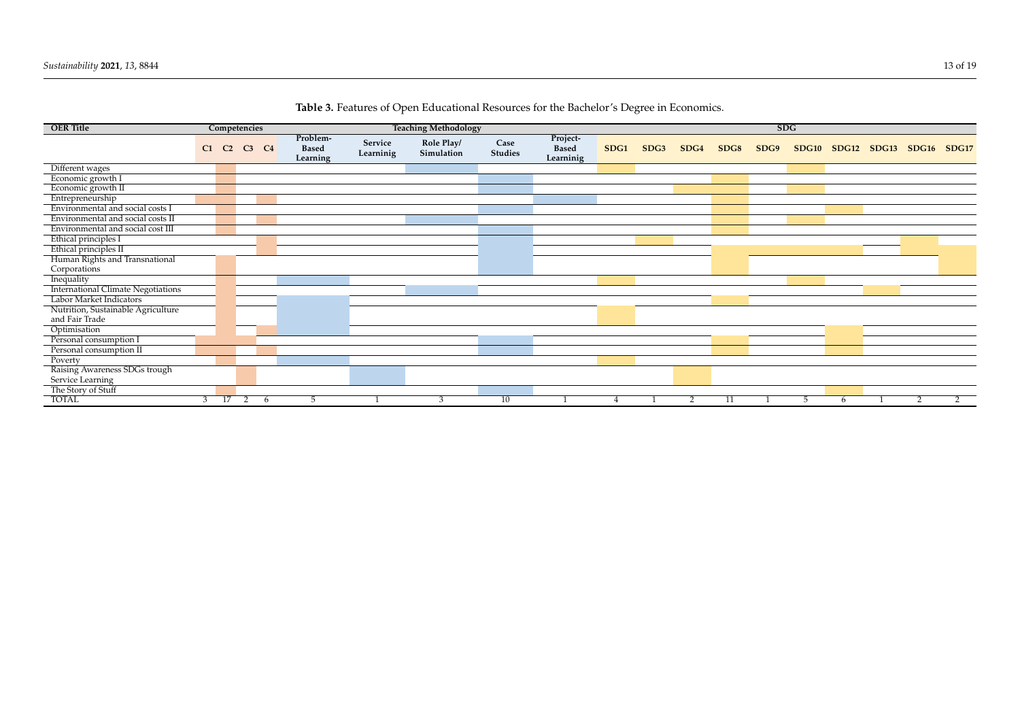<span id="page-12-0"></span>

| <b>OER Title</b>                          | Competencies   |                | <b>Teaching Methodology</b> |                                      |                      |                          | <b>SDG</b>             |                                       |      |      |      |      |      |                   |   |             |       |       |
|-------------------------------------------|----------------|----------------|-----------------------------|--------------------------------------|----------------------|--------------------------|------------------------|---------------------------------------|------|------|------|------|------|-------------------|---|-------------|-------|-------|
|                                           | C1             | C <sub>2</sub> | $C3$ $C4$                   | Problem-<br><b>Based</b><br>Learning | Service<br>Learninig | Role Play/<br>Simulation | Case<br><b>Studies</b> | Project-<br><b>Based</b><br>Learninig | SDG1 | SDG3 | SDG4 | SDG8 | SDG9 | SDG <sub>10</sub> |   | SDG12 SDG13 | SDG16 | SDG17 |
| Different wages                           |                |                |                             |                                      |                      |                          |                        |                                       |      |      |      |      |      |                   |   |             |       |       |
| Economic growth I                         |                |                |                             |                                      |                      |                          |                        |                                       |      |      |      |      |      |                   |   |             |       |       |
| Economic growth II                        |                |                |                             |                                      |                      |                          |                        |                                       |      |      |      |      |      |                   |   |             |       |       |
| Entrepreneurship                          |                |                |                             |                                      |                      |                          |                        |                                       |      |      |      |      |      |                   |   |             |       |       |
| Environmental and social costs I          |                |                |                             |                                      |                      |                          |                        |                                       |      |      |      |      |      |                   |   |             |       |       |
| Environmental and social costs II         |                |                |                             |                                      |                      |                          |                        |                                       |      |      |      |      |      |                   |   |             |       |       |
| Environmental and social cost III         |                |                |                             |                                      |                      |                          |                        |                                       |      |      |      |      |      |                   |   |             |       |       |
| Ethical principles I                      |                |                |                             |                                      |                      |                          |                        |                                       |      |      |      |      |      |                   |   |             |       |       |
| Ethical principles II                     |                |                |                             |                                      |                      |                          |                        |                                       |      |      |      |      |      |                   |   |             |       |       |
| Human Rights and Transnational            |                |                |                             |                                      |                      |                          |                        |                                       |      |      |      |      |      |                   |   |             |       |       |
| Corporations                              |                |                |                             |                                      |                      |                          |                        |                                       |      |      |      |      |      |                   |   |             |       |       |
| Inequality                                |                |                |                             |                                      |                      |                          |                        |                                       |      |      |      |      |      |                   |   |             |       |       |
| <b>International Climate Negotiations</b> |                |                |                             |                                      |                      |                          |                        |                                       |      |      |      |      |      |                   |   |             |       |       |
| Labor Market Indicators                   |                |                |                             |                                      |                      |                          |                        |                                       |      |      |      |      |      |                   |   |             |       |       |
| Nutrition, Sustainable Agriculture        |                |                |                             |                                      |                      |                          |                        |                                       |      |      |      |      |      |                   |   |             |       |       |
| and Fair Trade                            |                |                |                             |                                      |                      |                          |                        |                                       |      |      |      |      |      |                   |   |             |       |       |
| Optimisation                              |                |                |                             |                                      |                      |                          |                        |                                       |      |      |      |      |      |                   |   |             |       |       |
| Personal consumption I                    |                |                |                             |                                      |                      |                          |                        |                                       |      |      |      |      |      |                   |   |             |       |       |
| Personal consumption II                   |                |                |                             |                                      |                      |                          |                        |                                       |      |      |      |      |      |                   |   |             |       |       |
| Poverty                                   |                |                |                             |                                      |                      |                          |                        |                                       |      |      |      |      |      |                   |   |             |       |       |
| Raising Awareness SDGs trough             |                |                |                             |                                      |                      |                          |                        |                                       |      |      |      |      |      |                   |   |             |       |       |
| Service Learning                          |                |                |                             |                                      |                      |                          |                        |                                       |      |      |      |      |      |                   |   |             |       |       |
| The Story of Stuff                        |                |                |                             |                                      |                      |                          |                        |                                       |      |      |      |      |      |                   |   |             |       |       |
| <b>TOTAL</b>                              | $\overline{3}$ | 17             | $\overline{2}$<br>-6        | 5                                    |                      |                          | 10                     |                                       |      |      |      |      |      | b                 | 6 |             |       |       |

**Table 3.** Features of Open Educational Resources for the Bachelor's Degree in Economics.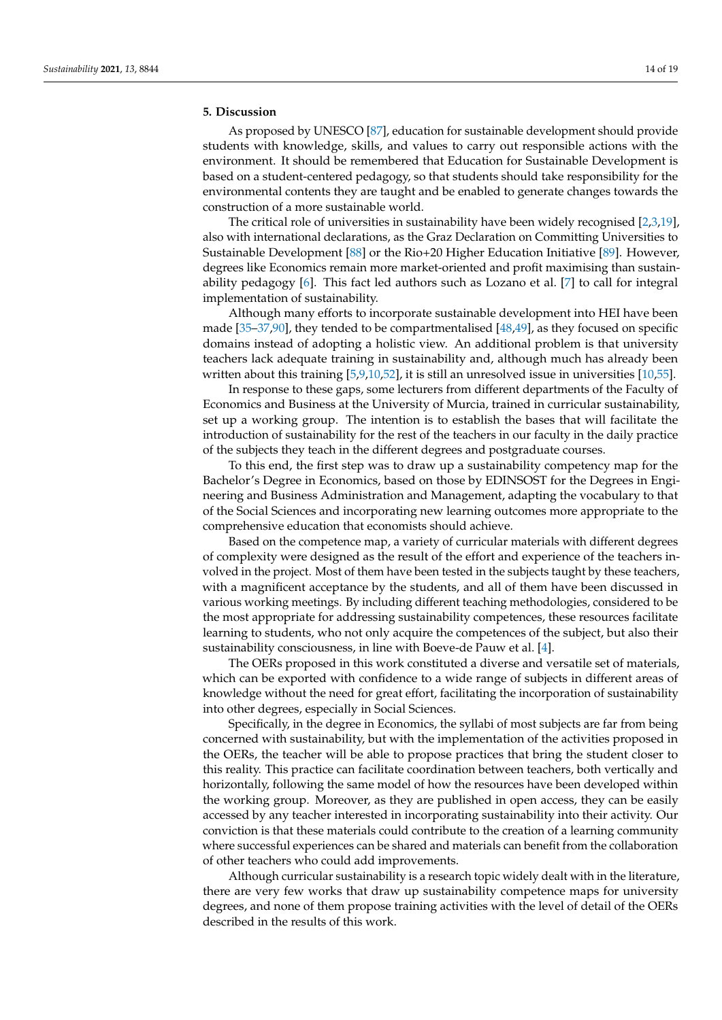#### <span id="page-13-0"></span>**5. Discussion**

As proposed by UNESCO [\[87\]](#page-18-4), education for sustainable development should provide students with knowledge, skills, and values to carry out responsible actions with the environment. It should be remembered that Education for Sustainable Development is based on a student-centered pedagogy, so that students should take responsibility for the environmental contents they are taught and be enabled to generate changes towards the construction of a more sustainable world.

The critical role of universities in sustainability have been widely recognised [\[2](#page-15-1)[,3](#page-15-2)[,19\]](#page-15-16), also with international declarations, as the Graz Declaration on Committing Universities to Sustainable Development [\[88\]](#page-18-5) or the Rio+20 Higher Education Initiative [\[89\]](#page-18-6). However, degrees like Economics remain more market-oriented and profit maximising than sustainability pedagogy [\[6\]](#page-15-5). This fact led authors such as Lozano et al. [\[7\]](#page-15-6) to call for integral implementation of sustainability.

Although many efforts to incorporate sustainable development into HEI have been made [\[35–](#page-16-10)[37](#page-16-12)[,90\]](#page-18-7), they tended to be compartmentalised [\[48](#page-16-22)[,49\]](#page-17-1), as they focused on specific domains instead of adopting a holistic view. An additional problem is that university teachers lack adequate training in sustainability and, although much has already been written about this training [\[5](#page-15-4)[,9,](#page-15-8)[10,](#page-15-23)[52\]](#page-17-3), it is still an unresolved issue in universities [\[10](#page-15-23)[,55\]](#page-17-6).

In response to these gaps, some lecturers from different departments of the Faculty of Economics and Business at the University of Murcia, trained in curricular sustainability, set up a working group. The intention is to establish the bases that will facilitate the introduction of sustainability for the rest of the teachers in our faculty in the daily practice of the subjects they teach in the different degrees and postgraduate courses.

To this end, the first step was to draw up a sustainability competency map for the Bachelor's Degree in Economics, based on those by EDINSOST for the Degrees in Engineering and Business Administration and Management, adapting the vocabulary to that of the Social Sciences and incorporating new learning outcomes more appropriate to the comprehensive education that economists should achieve.

Based on the competence map, a variety of curricular materials with different degrees of complexity were designed as the result of the effort and experience of the teachers involved in the project. Most of them have been tested in the subjects taught by these teachers, with a magnificent acceptance by the students, and all of them have been discussed in various working meetings. By including different teaching methodologies, considered to be the most appropriate for addressing sustainability competences, these resources facilitate learning to students, who not only acquire the competences of the subject, but also their sustainability consciousness, in line with Boeve-de Pauw et al. [\[4\]](#page-15-3).

The OERs proposed in this work constituted a diverse and versatile set of materials, which can be exported with confidence to a wide range of subjects in different areas of knowledge without the need for great effort, facilitating the incorporation of sustainability into other degrees, especially in Social Sciences.

Specifically, in the degree in Economics, the syllabi of most subjects are far from being concerned with sustainability, but with the implementation of the activities proposed in the OERs, the teacher will be able to propose practices that bring the student closer to this reality. This practice can facilitate coordination between teachers, both vertically and horizontally, following the same model of how the resources have been developed within the working group. Moreover, as they are published in open access, they can be easily accessed by any teacher interested in incorporating sustainability into their activity. Our conviction is that these materials could contribute to the creation of a learning community where successful experiences can be shared and materials can benefit from the collaboration of other teachers who could add improvements.

Although curricular sustainability is a research topic widely dealt with in the literature, there are very few works that draw up sustainability competence maps for university degrees, and none of them propose training activities with the level of detail of the OERs described in the results of this work.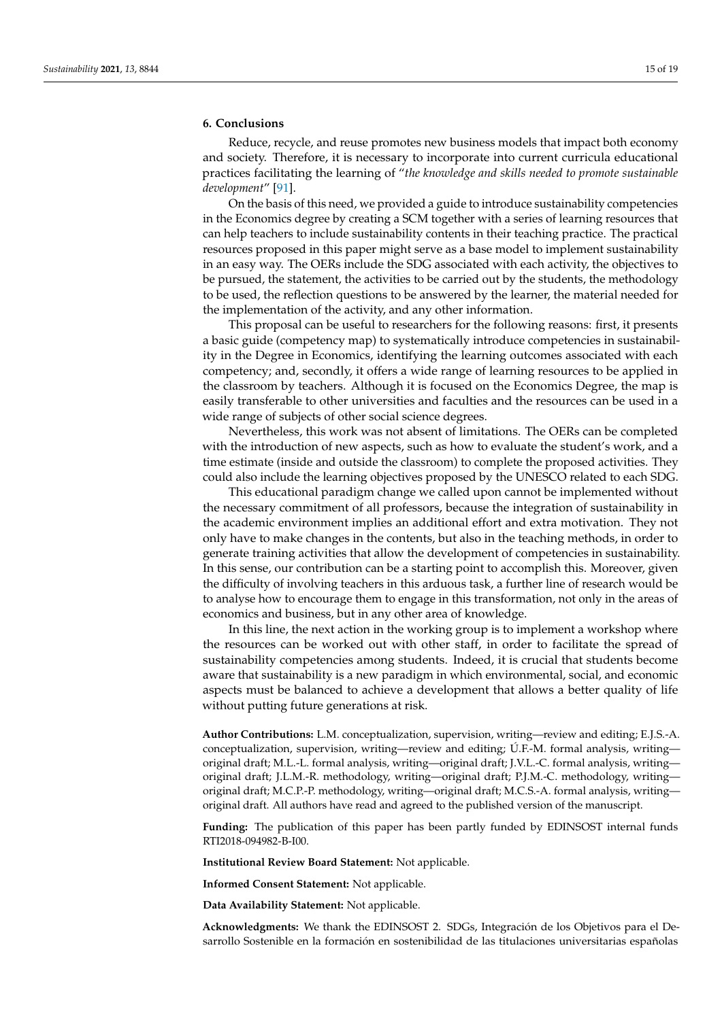#### <span id="page-14-0"></span>**6. Conclusions**

Reduce, recycle, and reuse promotes new business models that impact both economy and society. Therefore, it is necessary to incorporate into current curricula educational practices facilitating the learning of "*the knowledge and skills needed to promote sustainable development*" [\[91\]](#page-18-8).

On the basis of this need, we provided a guide to introduce sustainability competencies in the Economics degree by creating a SCM together with a series of learning resources that can help teachers to include sustainability contents in their teaching practice. The practical resources proposed in this paper might serve as a base model to implement sustainability in an easy way. The OERs include the SDG associated with each activity, the objectives to be pursued, the statement, the activities to be carried out by the students, the methodology to be used, the reflection questions to be answered by the learner, the material needed for the implementation of the activity, and any other information.

This proposal can be useful to researchers for the following reasons: first, it presents a basic guide (competency map) to systematically introduce competencies in sustainability in the Degree in Economics, identifying the learning outcomes associated with each competency; and, secondly, it offers a wide range of learning resources to be applied in the classroom by teachers. Although it is focused on the Economics Degree, the map is easily transferable to other universities and faculties and the resources can be used in a wide range of subjects of other social science degrees.

Nevertheless, this work was not absent of limitations. The OERs can be completed with the introduction of new aspects, such as how to evaluate the student's work, and a time estimate (inside and outside the classroom) to complete the proposed activities. They could also include the learning objectives proposed by the UNESCO related to each SDG.

This educational paradigm change we called upon cannot be implemented without the necessary commitment of all professors, because the integration of sustainability in the academic environment implies an additional effort and extra motivation. They not only have to make changes in the contents, but also in the teaching methods, in order to generate training activities that allow the development of competencies in sustainability. In this sense, our contribution can be a starting point to accomplish this. Moreover, given the difficulty of involving teachers in this arduous task, a further line of research would be to analyse how to encourage them to engage in this transformation, not only in the areas of economics and business, but in any other area of knowledge.

In this line, the next action in the working group is to implement a workshop where the resources can be worked out with other staff, in order to facilitate the spread of sustainability competencies among students. Indeed, it is crucial that students become aware that sustainability is a new paradigm in which environmental, social, and economic aspects must be balanced to achieve a development that allows a better quality of life without putting future generations at risk.

**Author Contributions:** L.M. conceptualization, supervision, writing—review and editing; E.J.S.-A. conceptualization, supervision, writing—review and editing; Ú.F.-M. formal analysis, writing original draft; M.L.-L. formal analysis, writing—original draft; J.V.L.-C. formal analysis, writing original draft; J.L.M.-R. methodology, writing—original draft; P.J.M.-C. methodology, writing original draft; M.C.P.-P. methodology, writing—original draft; M.C.S.-A. formal analysis, writing original draft. All authors have read and agreed to the published version of the manuscript.

**Funding:** The publication of this paper has been partly funded by EDINSOST internal funds RTI2018-094982-B-I00.

**Institutional Review Board Statement:** Not applicable.

**Informed Consent Statement:** Not applicable.

**Data Availability Statement:** Not applicable.

**Acknowledgments:** We thank the EDINSOST 2. SDGs, Integración de los Objetivos para el Desarrollo Sostenible en la formación en sostenibilidad de las titulaciones universitarias españolas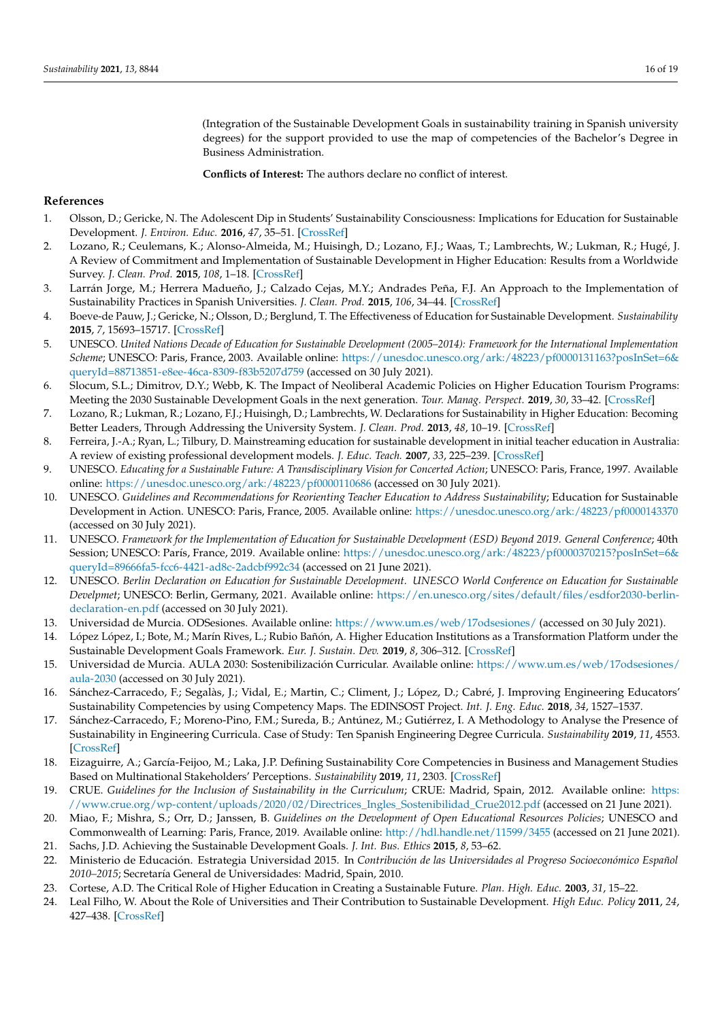(Integration of the Sustainable Development Goals in sustainability training in Spanish university degrees) for the support provided to use the map of competencies of the Bachelor's Degree in Business Administration.

**Conflicts of Interest:** The authors declare no conflict of interest.

## **References**

- <span id="page-15-0"></span>1. Olsson, D.; Gericke, N. The Adolescent Dip in Students' Sustainability Consciousness: Implications for Education for Sustainable Development. *J. Environ. Educ.* **2016**, *47*, 35–51. [\[CrossRef\]](http://doi.org/10.1080/00958964.2015.1075464)
- <span id="page-15-1"></span>2. Lozano, R.; Ceulemans, K.; Alonso-Almeida, M.; Huisingh, D.; Lozano, F.J.; Waas, T.; Lambrechts, W.; Lukman, R.; Hugé, J. A Review of Commitment and Implementation of Sustainable Development in Higher Education: Results from a Worldwide Survey. *J. Clean. Prod.* **2015**, *108*, 1–18. [\[CrossRef\]](http://doi.org/10.1016/j.jclepro.2014.09.048)
- <span id="page-15-2"></span>3. Larrán Jorge, M.; Herrera Madueño, J.; Calzado Cejas, M.Y.; Andrades Peña, F.J. An Approach to the Implementation of Sustainability Practices in Spanish Universities. *J. Clean. Prod.* **2015**, *106*, 34–44. [\[CrossRef\]](http://doi.org/10.1016/j.jclepro.2014.07.035)
- <span id="page-15-3"></span>4. Boeve-de Pauw, J.; Gericke, N.; Olsson, D.; Berglund, T. The Effectiveness of Education for Sustainable Development. *Sustainability* **2015**, *7*, 15693–15717. [\[CrossRef\]](http://doi.org/10.3390/su71115693)
- <span id="page-15-4"></span>5. UNESCO. *United Nations Decade of Education for Sustainable Development (2005–2014): Framework for the International Implementation Scheme*; UNESCO: Paris, France, 2003. Available online: [https://unesdoc.unesco.org/ark:/48223/pf0000131163?posInSet=6&](https://unesdoc.unesco.org/ark:/48223/pf0000131163?posInSet=6&queryId=88713851-e8ee-46ca-8309-f83b5207d759) [queryId=88713851-e8ee-46ca-8309-f83b5207d759](https://unesdoc.unesco.org/ark:/48223/pf0000131163?posInSet=6&queryId=88713851-e8ee-46ca-8309-f83b5207d759) (accessed on 30 July 2021).
- <span id="page-15-5"></span>6. Slocum, S.L.; Dimitrov, D.Y.; Webb, K. The Impact of Neoliberal Academic Policies on Higher Education Tourism Programs: Meeting the 2030 Sustainable Development Goals in the next generation. *Tour. Manag. Perspect.* **2019**, *30*, 33–42. [\[CrossRef\]](http://doi.org/10.1016/j.tmp.2019.01.004)
- <span id="page-15-6"></span>7. Lozano, R.; Lukman, R.; Lozano, F.J.; Huisingh, D.; Lambrechts, W. Declarations for Sustainability in Higher Education: Becoming Better Leaders, Through Addressing the University System. *J. Clean. Prod.* **2013**, *48*, 10–19. [\[CrossRef\]](http://doi.org/10.1016/j.jclepro.2011.10.006)
- <span id="page-15-7"></span>8. Ferreira, J.-A.; Ryan, L.; Tilbury, D. Mainstreaming education for sustainable development in initial teacher education in Australia: A review of existing professional development models. *J. Educ. Teach.* **2007**, *33*, 225–239. [\[CrossRef\]](http://doi.org/10.1080/02607470701259515)
- <span id="page-15-8"></span>9. UNESCO. *Educating for a Sustainable Future: A Transdisciplinary Vision for Concerted Action*; UNESCO: Paris, France, 1997. Available online: <https://unesdoc.unesco.org/ark:/48223/pf0000110686> (accessed on 30 July 2021).
- <span id="page-15-23"></span>10. UNESCO. *Guidelines and Recommendations for Reorienting Teacher Education to Address Sustainability*; Education for Sustainable Development in Action. UNESCO: Paris, France, 2005. Available online: <https://unesdoc.unesco.org/ark:/48223/pf0000143370> (accessed on 30 July 2021).
- <span id="page-15-22"></span>11. UNESCO. *Framework for the Implementation of Education for Sustainable Development (ESD) Beyond 2019. General Conference*; 40th Session; UNESCO: París, France, 2019. Available online: [https://unesdoc.unesco.org/ark:/48223/pf0000370215?posInSet=6&](https://unesdoc.unesco.org/ark:/48223/pf0000370215?posInSet=6&queryId=89666fa5-fcc6-4421-ad8c-2adcbf992c34) [queryId=89666fa5-fcc6-4421-ad8c-2adcbf992c34](https://unesdoc.unesco.org/ark:/48223/pf0000370215?posInSet=6&queryId=89666fa5-fcc6-4421-ad8c-2adcbf992c34) (accessed on 21 June 2021).
- <span id="page-15-9"></span>12. UNESCO. *Berlin Declaration on Education for Sustainable Development. UNESCO World Conference on Education for Sustainable Develpmet*; UNESCO: Berlin, Germany, 2021. Available online: [https://en.unesco.org/sites/default/files/esdfor2030-berlin](https://en.unesco.org/sites/default/files/esdfor2030-berlin-declaration-en.pdf)[declaration-en.pdf](https://en.unesco.org/sites/default/files/esdfor2030-berlin-declaration-en.pdf) (accessed on 30 July 2021).
- <span id="page-15-10"></span>13. Universidad de Murcia. ODSesiones. Available online: <https://www.um.es/web/17odsesiones/> (accessed on 30 July 2021).
- <span id="page-15-11"></span>14. López López, I.; Bote, M.; Marín Rives, L.; Rubio Bañón, A. Higher Education Institutions as a Transformation Platform under the Sustainable Development Goals Framework. *Eur. J. Sustain. Dev.* **2019**, *8*, 306–312. [\[CrossRef\]](http://doi.org/10.14207/ejsd.2019.v8n3p306)
- <span id="page-15-12"></span>15. Universidad de Murcia. AULA 2030: Sostenibilización Curricular. Available online: [https://www.um.es/web/17odsesiones/](https://www.um.es/web/17odsesiones/aula-2030) [aula-2030](https://www.um.es/web/17odsesiones/aula-2030) (accessed on 30 July 2021).
- <span id="page-15-13"></span>16. Sánchez-Carracedo, F.; Segalàs, J.; Vidal, E.; Martin, C.; Climent, J.; López, D.; Cabré, J. Improving Engineering Educators' Sustainability Competencies by using Competency Maps. The EDINSOST Project. *Int. J. Eng. Educ.* **2018**, *34*, 1527–1537.
- <span id="page-15-14"></span>17. Sánchez-Carracedo, F.; Moreno-Pino, F.M.; Sureda, B.; Antúnez, M.; Gutiérrez, I. A Methodology to Analyse the Presence of Sustainability in Engineering Curricula. Case of Study: Ten Spanish Engineering Degree Curricula. *Sustainability* **2019**, *11*, 4553. [\[CrossRef\]](http://doi.org/10.3390/su11174553)
- <span id="page-15-15"></span>18. Eizaguirre, A.; García-Feijoo, M.; Laka, J.P. Defining Sustainability Core Competencies in Business and Management Studies Based on Multinational Stakeholders' Perceptions. *Sustainability* **2019**, *11*, 2303. [\[CrossRef\]](http://doi.org/10.3390/su11082303)
- <span id="page-15-16"></span>19. CRUE. *Guidelines for the Inclusion of Sustainability in the Curriculum*; CRUE: Madrid, Spain, 2012. Available online: [https:](https://www.crue.org/wp-content/uploads/2020/02/Directrices_Ingles_Sostenibilidad_Crue2012.pdf) [//www.crue.org/wp-content/uploads/2020/02/Directrices\\_Ingles\\_Sostenibilidad\\_Crue2012.pdf](https://www.crue.org/wp-content/uploads/2020/02/Directrices_Ingles_Sostenibilidad_Crue2012.pdf) (accessed on 21 June 2021).
- <span id="page-15-17"></span>20. Miao, F.; Mishra, S.; Orr, D.; Janssen, B. *Guidelines on the Development of Open Educational Resources Policies*; UNESCO and Commonwealth of Learning: Paris, France, 2019. Available online: <http://hdl.handle.net/11599/3455> (accessed on 21 June 2021).
- <span id="page-15-18"></span>21. Sachs, J.D. Achieving the Sustainable Development Goals. *J. Int. Bus. Ethics* **2015**, *8*, 53–62.
- <span id="page-15-19"></span>22. Ministerio de Educación. Estrategia Universidad 2015. In *Contribución de las Universidades al Progreso Socioeconómico Español 2010–2015*; Secretaría General de Universidades: Madrid, Spain, 2010.
- <span id="page-15-20"></span>23. Cortese, A.D. The Critical Role of Higher Education in Creating a Sustainable Future. *Plan. High. Educ.* **2003**, *31*, 15–22.
- <span id="page-15-21"></span>24. Leal Filho, W. About the Role of Universities and Their Contribution to Sustainable Development. *High Educ. Policy* **2011**, *24*, 427–438. [\[CrossRef\]](http://doi.org/10.1057/hep.2011.16)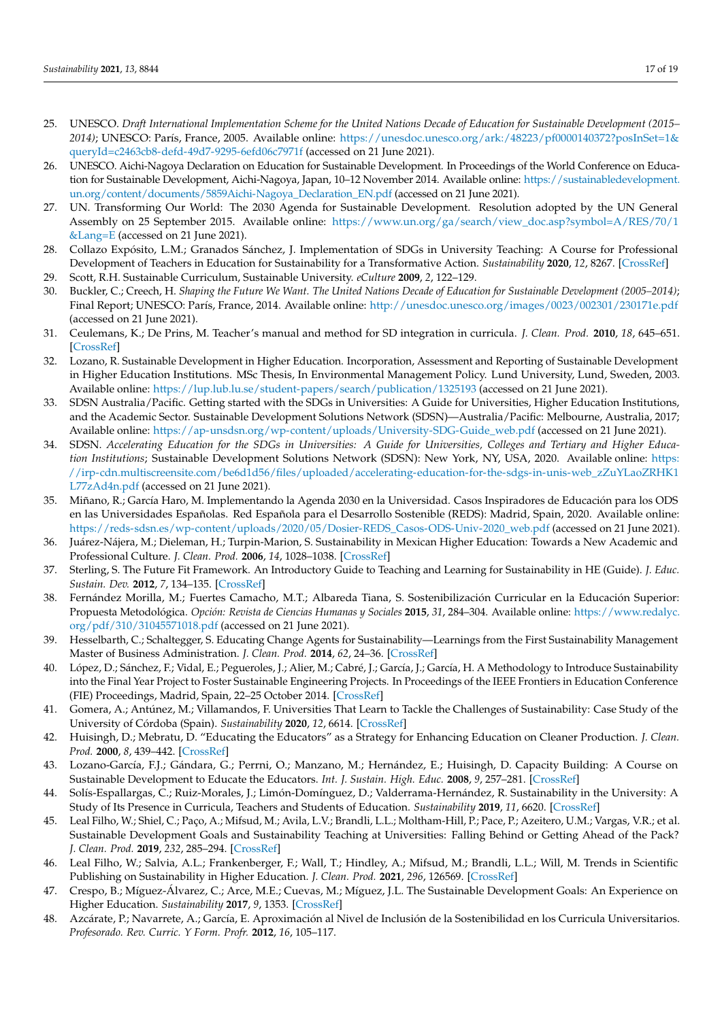- <span id="page-16-0"></span>25. UNESCO. *Draft International Implementation Scheme for the United Nations Decade of Education for Sustainable Development (2015– 2014)*; UNESCO: París, France, 2005. Available online: [https://unesdoc.unesco.org/ark:/48223/pf0000140372?posInSet=1&](https://unesdoc.unesco.org/ark:/48223/pf0000140372?posInSet=1&queryId=c2463cb8-defd-49d7-9295-6efd06c7971f) [queryId=c2463cb8-defd-49d7-9295-6efd06c7971f](https://unesdoc.unesco.org/ark:/48223/pf0000140372?posInSet=1&queryId=c2463cb8-defd-49d7-9295-6efd06c7971f) (accessed on 21 June 2021).
- <span id="page-16-1"></span>26. UNESCO. Aichi-Nagoya Declaration on Education for Sustainable Development. In Proceedings of the World Conference on Education for Sustainable Development, Aichi-Nagoya, Japan, 10–12 November 2014. Available online: [https://sustainabledevelopment.](https://sustainabledevelopment.un.org/content/documents/5859Aichi-Nagoya_Declaration_EN.pdf) [un.org/content/documents/5859Aichi-Nagoya\\_Declaration\\_EN.pdf](https://sustainabledevelopment.un.org/content/documents/5859Aichi-Nagoya_Declaration_EN.pdf) (accessed on 21 June 2021).
- <span id="page-16-2"></span>27. UN. Transforming Our World: The 2030 Agenda for Sustainable Development. Resolution adopted by the UN General Assembly on 25 September 2015. Available online: [https://www.un.org/ga/search/view\\_doc.asp?symbol=A/RES/70/1](https://www.un.org/ga/search/view_doc.asp?symbol=A/RES/70/1&Lang=E) [&Lang=E](https://www.un.org/ga/search/view_doc.asp?symbol=A/RES/70/1&Lang=E) (accessed on 21 June 2021).
- <span id="page-16-3"></span>28. Collazo Expósito, L.M.; Granados Sánchez, J. Implementation of SDGs in University Teaching: A Course for Professional Development of Teachers in Education for Sustainability for a Transformative Action. *Sustainability* **2020**, *12*, 8267. [\[CrossRef\]](http://doi.org/10.3390/su12198267)
- <span id="page-16-4"></span>29. Scott, R.H. Sustainable Curriculum, Sustainable University. *eCulture* **2009**, *2*, 122–129.
- <span id="page-16-5"></span>30. Buckler, C.; Creech, H. *Shaping the Future We Want. The United Nations Decade of Education for Sustainable Development (2005–2014)*; Final Report; UNESCO: París, France, 2014. Available online: <http://unesdoc.unesco.org/images/0023/002301/230171e.pdf> (accessed on 21 June 2021).
- <span id="page-16-6"></span>31. Ceulemans, K.; De Prins, M. Teacher's manual and method for SD integration in curricula. *J. Clean. Prod.* **2010**, *18*, 645–651. [\[CrossRef\]](http://doi.org/10.1016/j.jclepro.2009.09.014)
- <span id="page-16-7"></span>32. Lozano, R. Sustainable Development in Higher Education. Incorporation, Assessment and Reporting of Sustainable Development in Higher Education Institutions. MSc Thesis, In Environmental Management Policy. Lund University, Lund, Sweden, 2003. Available online: <https://lup.lub.lu.se/student-papers/search/publication/1325193> (accessed on 21 June 2021).
- <span id="page-16-8"></span>33. SDSN Australia/Pacific. Getting started with the SDGs in Universities: A Guide for Universities, Higher Education Institutions, and the Academic Sector. Sustainable Development Solutions Network (SDSN)—Australia/Pacific: Melbourne, Australia, 2017; Available online: [https://ap-unsdsn.org/wp-content/uploads/University-SDG-Guide\\_web.pdf](https://ap-unsdsn.org/wp-content/uploads/University-SDG-Guide_web.pdf) (accessed on 21 June 2021).
- <span id="page-16-9"></span>34. SDSN. *Accelerating Education for the SDGs in Universities: A Guide for Universities, Colleges and Tertiary and Higher Education Institutions*; Sustainable Development Solutions Network (SDSN): New York, NY, USA, 2020. Available online: [https:](https://irp-cdn.multiscreensite.com/be6d1d56/files/uploaded/accelerating-education-for-the-sdgs-in-unis-web_zZuYLaoZRHK1L77zAd4n.pdf) [//irp-cdn.multiscreensite.com/be6d1d56/files/uploaded/accelerating-education-for-the-sdgs-in-unis-web\\_zZuYLaoZRHK1](https://irp-cdn.multiscreensite.com/be6d1d56/files/uploaded/accelerating-education-for-the-sdgs-in-unis-web_zZuYLaoZRHK1L77zAd4n.pdf) [L77zAd4n.pdf](https://irp-cdn.multiscreensite.com/be6d1d56/files/uploaded/accelerating-education-for-the-sdgs-in-unis-web_zZuYLaoZRHK1L77zAd4n.pdf) (accessed on 21 June 2021).
- <span id="page-16-10"></span>35. Miñano, R.; García Haro, M. Implementando la Agenda 2030 en la Universidad. Casos Inspiradores de Educación para los ODS en las Universidades Españolas. Red Española para el Desarrollo Sostenible (REDS): Madrid, Spain, 2020. Available online: [https://reds-sdsn.es/wp-content/uploads/2020/05/Dosier-REDS\\_Casos-ODS-Univ-2020\\_web.pdf](https://reds-sdsn.es/wp-content/uploads/2020/05/Dosier-REDS_Casos-ODS-Univ-2020_web.pdf) (accessed on 21 June 2021).
- <span id="page-16-11"></span>36. Juárez-Nájera, M.; Dieleman, H.; Turpin-Marion, S. Sustainability in Mexican Higher Education: Towards a New Academic and Professional Culture. *J. Clean. Prod.* **2006**, *14*, 1028–1038. [\[CrossRef\]](http://doi.org/10.1016/j.jclepro.2005.11.049)
- <span id="page-16-12"></span>37. Sterling, S. The Future Fit Framework. An Introductory Guide to Teaching and Learning for Sustainability in HE (Guide). *J. Educ. Sustain. Dev.* **2012**, *7*, 134–135. [\[CrossRef\]](http://doi.org/10.1177/0973408213495614b)
- <span id="page-16-13"></span>38. Fernández Morilla, M.; Fuertes Camacho, M.T.; Albareda Tiana, S. Sostenibilización Curricular en la Educación Superior: Propuesta Metodológica. *Opción: Revista de Ciencias Humanas y Sociales* **2015**, *31*, 284–304. Available online: [https://www.redalyc.](https://www.redalyc.org/pdf/310/31045571018.pdf) [org/pdf/310/31045571018.pdf](https://www.redalyc.org/pdf/310/31045571018.pdf) (accessed on 21 June 2021).
- 39. Hesselbarth, C.; Schaltegger, S. Educating Change Agents for Sustainability—Learnings from the First Sustainability Management Master of Business Administration. *J. Clean. Prod.* **2014**, *62*, 24–36. [\[CrossRef\]](http://doi.org/10.1016/j.jclepro.2013.03.042)
- <span id="page-16-14"></span>40. López, D.; Sánchez, F.; Vidal, E.; Pegueroles, J.; Alier, M.; Cabré, J.; García, J.; García, H. A Methodology to Introduce Sustainability into the Final Year Project to Foster Sustainable Engineering Projects. In Proceedings of the IEEE Frontiers in Education Conference (FIE) Proceedings, Madrid, Spain, 22–25 October 2014. [\[CrossRef\]](http://doi.org/10.1109/FIE.2014.7044379)
- <span id="page-16-15"></span>41. Gomera, A.; Antúnez, M.; Villamandos, F. Universities That Learn to Tackle the Challenges of Sustainability: Case Study of the University of Córdoba (Spain). *Sustainability* **2020**, *12*, 6614. [\[CrossRef\]](http://doi.org/10.3390/su12166614)
- <span id="page-16-16"></span>42. Huisingh, D.; Mebratu, D. "Educating the Educators" as a Strategy for Enhancing Education on Cleaner Production. *J. Clean. Prod.* **2000**, *8*, 439–442. [\[CrossRef\]](http://doi.org/10.1016/S0959-6526(00)00048-2)
- <span id="page-16-17"></span>43. Lozano-García, F.J.; Gándara, G.; Perrni, O.; Manzano, M.; Hernández, E.; Huisingh, D. Capacity Building: A Course on Sustainable Development to Educate the Educators. *Int. J. Sustain. High. Educ.* **2008**, *9*, 257–281. [\[CrossRef\]](http://doi.org/10.1108/14676370810885880)
- <span id="page-16-18"></span>44. Solís-Espallargas, C.; Ruiz-Morales, J.; Limón-Domínguez, D.; Valderrama-Hernández, R. Sustainability in the University: A Study of Its Presence in Curricula, Teachers and Students of Education. *Sustainability* **2019**, *11*, 6620. [\[CrossRef\]](http://doi.org/10.3390/su11236620)
- <span id="page-16-19"></span>45. Leal Filho, W.; Shiel, C.; Paço, A.; Mifsud, M.; Avila, L.V.; Brandli, L.L.; Moltham-Hill, P.; Pace, P.; Azeitero, U.M.; Vargas, V.R.; et al. Sustainable Development Goals and Sustainability Teaching at Universities: Falling Behind or Getting Ahead of the Pack? *J. Clean. Prod.* **2019**, *232*, 285–294. [\[CrossRef\]](http://doi.org/10.1016/j.jclepro.2019.05.309)
- <span id="page-16-20"></span>46. Leal Filho, W.; Salvia, A.L.; Frankenberger, F.; Wall, T.; Hindley, A.; Mifsud, M.; Brandli, L.L.; Will, M. Trends in Scientific Publishing on Sustainability in Higher Education. *J. Clean. Prod.* **2021**, *296*, 126569. [\[CrossRef\]](http://doi.org/10.1016/j.jclepro.2021.126569)
- <span id="page-16-21"></span>47. Crespo, B.; Míguez-Álvarez, C.; Arce, M.E.; Cuevas, M.; Míguez, J.L. The Sustainable Development Goals: An Experience on Higher Education. *Sustainability* **2017**, *9*, 1353. [\[CrossRef\]](http://doi.org/10.3390/su9081353)
- <span id="page-16-22"></span>48. Azcárate, P.; Navarrete, A.; García, E. Aproximación al Nivel de Inclusión de la Sostenibilidad en los Curricula Universitarios. *Profesorado. Rev. Curric. Y Form. Profr.* **2012**, *16*, 105–117.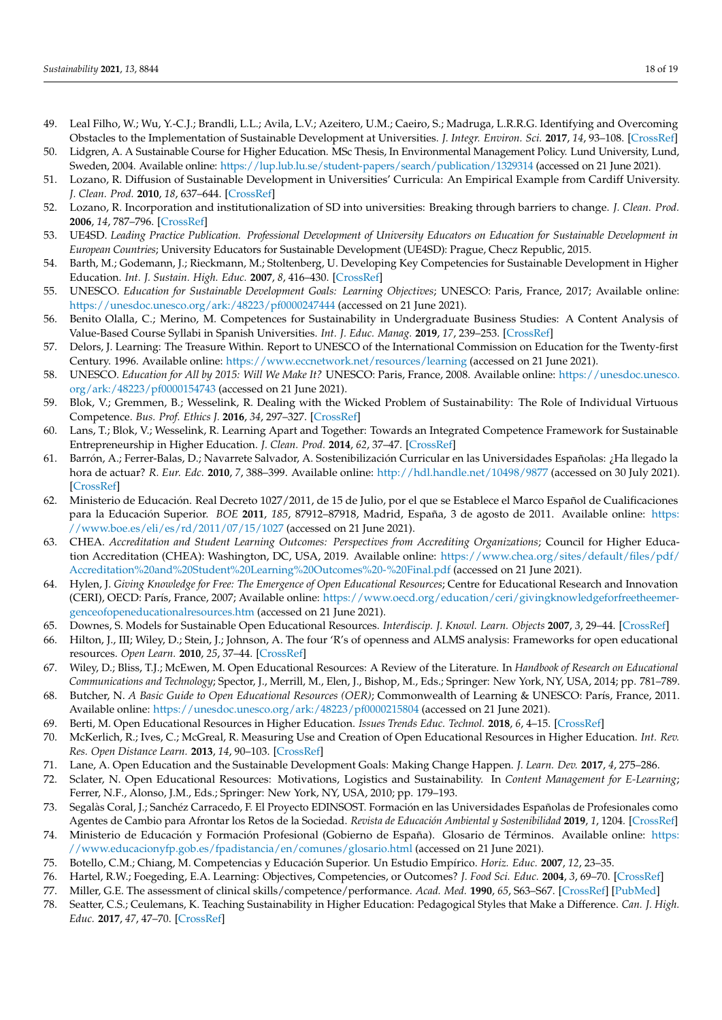- <span id="page-17-1"></span>49. Leal Filho, W.; Wu, Y.-C.J.; Brandli, L.L.; Avila, L.V.; Azeitero, U.M.; Caeiro, S.; Madruga, L.R.R.G. Identifying and Overcoming Obstacles to the Implementation of Sustainable Development at Universities. *J. Integr. Environ. Sci.* **2017**, *14*, 93–108. [\[CrossRef\]](http://doi.org/10.1080/1943815X.2017.1362007)
- <span id="page-17-0"></span>50. Lidgren, A. A Sustainable Course for Higher Education. MSc Thesis, In Environmental Management Policy. Lund University, Lund, Sweden, 2004. Available online: <https://lup.lub.lu.se/student-papers/search/publication/1329314> (accessed on 21 June 2021).
- <span id="page-17-2"></span>51. Lozano, R. Diffusion of Sustainable Development in Universities' Curricula: An Empirical Example from Cardiff University. *J. Clean. Prod.* **2010**, *18*, 637–644. [\[CrossRef\]](http://doi.org/10.1016/j.jclepro.2009.07.005)
- <span id="page-17-3"></span>52. Lozano, R. Incorporation and institutionalization of SD into universities: Breaking through barriers to change. *J. Clean. Prod.* **2006**, *14*, 787–796. [\[CrossRef\]](http://doi.org/10.1016/j.jclepro.2005.12.010)
- <span id="page-17-4"></span>53. UE4SD. *Leading Practice Publication. Professional Development of University Educators on Education for Sustainable Development in European Countries*; University Educators for Sustainable Development (UE4SD): Prague, Checz Republic, 2015.
- <span id="page-17-5"></span>54. Barth, M.; Godemann, J.; Rieckmann, M.; Stoltenberg, U. Developing Key Competencies for Sustainable Development in Higher Education. *Int. J. Sustain. High. Educ.* **2007**, *8*, 416–430. [\[CrossRef\]](http://doi.org/10.1108/14676370710823582)
- <span id="page-17-6"></span>55. UNESCO. *Education for Sustainable Development Goals: Learning Objectives*; UNESCO: Paris, France, 2017; Available online: <https://unesdoc.unesco.org/ark:/48223/pf0000247444> (accessed on 21 June 2021).
- <span id="page-17-7"></span>56. Benito Olalla, C.; Merino, M. Competences for Sustainability in Undergraduate Business Studies: A Content Analysis of Value-Based Course Syllabi in Spanish Universities. *Int. J. Educ. Manag.* **2019**, *17*, 239–253. [\[CrossRef\]](http://doi.org/10.1016/j.ijme.2019.02.006)
- <span id="page-17-8"></span>57. Delors, J. Learning: The Treasure Within. Report to UNESCO of the International Commission on Education for the Twenty-first Century. 1996. Available online: <https://www.eccnetwork.net/resources/learning> (accessed on 21 June 2021).
- <span id="page-17-9"></span>58. UNESCO. *Education for All by 2015: Will We Make It?* UNESCO: Paris, France, 2008. Available online: [https://unesdoc.unesco.](https://unesdoc.unesco.org/ark:/48223/pf0000154743) [org/ark:/48223/pf0000154743](https://unesdoc.unesco.org/ark:/48223/pf0000154743) (accessed on 21 June 2021).
- <span id="page-17-10"></span>59. Blok, V.; Gremmen, B.; Wesselink, R. Dealing with the Wicked Problem of Sustainability: The Role of Individual Virtuous Competence. *Bus. Prof. Ethics J.* **2016**, *34*, 297–327. [\[CrossRef\]](http://doi.org/10.5840/bpej201621737)
- <span id="page-17-11"></span>60. Lans, T.; Blok, V.; Wesselink, R. Learning Apart and Together: Towards an Integrated Competence Framework for Sustainable Entrepreneurship in Higher Education. *J. Clean. Prod.* **2014**, *62*, 37–47. [\[CrossRef\]](http://doi.org/10.1016/j.jclepro.2013.03.036)
- <span id="page-17-12"></span>61. Barrón, A.; Ferrer-Balas, D.; Navarrete Salvador, A. Sostenibilización Curricular en las Universidades Españolas: ¿Ha llegado la hora de actuar? *R. Eur. Edc.* **2010**, *7*, 388–399. Available online: <http://hdl.handle.net/10498/9877> (accessed on 30 July 2021). [\[CrossRef\]](http://doi.org/10.25267/Rev_Eureka_ensen_divulg_cienc.2010.v7.iextra.18)
- <span id="page-17-13"></span>62. Ministerio de Educación. Real Decreto 1027/2011, de 15 de Julio, por el que se Establece el Marco Español de Cualificaciones para la Educación Superior. *BOE* **2011**, *185*, 87912–87918, Madrid, España, 3 de agosto de 2011. Available online: [https:](https://www.boe.es/eli/es/rd/2011/07/15/1027) [//www.boe.es/eli/es/rd/2011/07/15/1027](https://www.boe.es/eli/es/rd/2011/07/15/1027) (accessed on 21 June 2021).
- <span id="page-17-14"></span>63. CHEA. *Accreditation and Student Learning Outcomes: Perspectives from Accrediting Organizations*; Council for Higher Education Accreditation (CHEA): Washington, DC, USA, 2019. Available online: [https://www.chea.org/sites/default/files/pdf/](https://www.chea.org/sites/default/files/pdf/Accreditation%20and%20Student%20Learning%20Outcomes%20-%20Final.pdf) [Accreditation%20and%20Student%20Learning%20Outcomes%20-%20Final.pdf](https://www.chea.org/sites/default/files/pdf/Accreditation%20and%20Student%20Learning%20Outcomes%20-%20Final.pdf) (accessed on 21 June 2021).
- <span id="page-17-15"></span>64. Hylen, J. *Giving Knowledge for Free: The Emergence of Open Educational Resources*; Centre for Educational Research and Innovation (CERI), OECD: París, France, 2007; Available online: [https://www.oecd.org/education/ceri/givingknowledgeforfreetheemer](https://www.oecd.org/education/ceri/givingknowledgeforfreetheemer- genceofopeneducationalresources.htm)[genceofopeneducationalresources.htm](https://www.oecd.org/education/ceri/givingknowledgeforfreetheemer- genceofopeneducationalresources.htm) (accessed on 21 June 2021).
- <span id="page-17-20"></span>65. Downes, S. Models for Sustainable Open Educational Resources. *Interdiscip. J. Knowl. Learn. Objects* **2007**, *3*, 29–44. [\[CrossRef\]](http://doi.org/10.28945/384)
- <span id="page-17-21"></span>66. Hilton, J., III; Wiley, D.; Stein, J.; Johnson, A. The four 'R's of openness and ALMS analysis: Frameworks for open educational resources. *Open Learn.* **2010**, *25*, 37–44. [\[CrossRef\]](http://doi.org/10.1080/02680510903482132)
- <span id="page-17-16"></span>67. Wiley, D.; Bliss, T.J.; McEwen, M. Open Educational Resources: A Review of the Literature. In *Handbook of Research on Educational Communications and Technology*; Spector, J., Merrill, M., Elen, J., Bishop, M., Eds.; Springer: New York, NY, USA, 2014; pp. 781–789.
- <span id="page-17-17"></span>68. Butcher, N. *A Basic Guide to Open Educational Resources (OER)*; Commonwealth of Learning & UNESCO: París, France, 2011. Available online: <https://unesdoc.unesco.org/ark:/48223/pf0000215804> (accessed on 21 June 2021).
- <span id="page-17-18"></span>69. Berti, M. Open Educational Resources in Higher Education. *Issues Trends Educ. Technol.* **2018**, *6*, 4–15. [\[CrossRef\]](http://doi.org/10.2458/azu_itet_v6i1_berti)
- <span id="page-17-19"></span>70. McKerlich, R.; Ives, C.; McGreal, R. Measuring Use and Creation of Open Educational Resources in Higher Education. *Int. Rev. Res. Open Distance Learn.* **2013**, *14*, 90–103. [\[CrossRef\]](http://doi.org/10.19173/irrodl.v14i4.1573)
- <span id="page-17-22"></span>71. Lane, A. Open Education and the Sustainable Development Goals: Making Change Happen. *J. Learn. Dev.* **2017**, *4*, 275–286.
- <span id="page-17-23"></span>72. Sclater, N. Open Educational Resources: Motivations, Logistics and Sustainability. In *Content Management for E-Learning*; Ferrer, N.F., Alonso, J.M., Eds.; Springer: New York, NY, USA, 2010; pp. 179–193.
- <span id="page-17-24"></span>73. Segalàs Coral, J.; Sanchéz Carracedo, F. El Proyecto EDINSOST. Formación en las Universidades Españolas de Profesionales como Agentes de Cambio para Afrontar los Retos de la Sociedad. *Revista de Educación Ambiental y Sostenibilidad* **2019**, *1*, 1204. [\[CrossRef\]](http://doi.org/10.25267/Rev_educ_ambient_sostenibilidad.2019.v1.i1.1204)
- <span id="page-17-25"></span>74. Ministerio de Educación y Formación Profesional (Gobierno de España). Glosario de Términos. Available online: [https:](https://www.educacionyfp.gob.es/fpadistancia/en/comunes/glosario.html) [//www.educacionyfp.gob.es/fpadistancia/en/comunes/glosario.html](https://www.educacionyfp.gob.es/fpadistancia/en/comunes/glosario.html) (accessed on 21 June 2021).
- <span id="page-17-26"></span>75. Botello, C.M.; Chiang, M. Competencias y Educación Superior. Un Estudio Empírico. *Horiz. Educ.* **2007**, *12*, 23–35.
- <span id="page-17-27"></span>76. Hartel, R.W.; Foegeding, E.A. Learning: Objectives, Competencies, or Outcomes? *J. Food Sci. Educ.* **2004**, *3*, 69–70. [\[CrossRef\]](http://doi.org/10.1111/j.1541-4329.2004.tb00047.x)
- <span id="page-17-28"></span>77. Miller, G.E. The assessment of clinical skills/competence/performance. *Acad. Med.* **1990**, *65*, S63–S67. [\[CrossRef\]](http://doi.org/10.1097/00001888-199009000-00045) [\[PubMed\]](http://www.ncbi.nlm.nih.gov/pubmed/2400509)
- <span id="page-17-29"></span>78. Seatter, C.S.; Ceulemans, K. Teaching Sustainability in Higher Education: Pedagogical Styles that Make a Difference. *Can. J. High. Educ.* **2017**, *47*, 47–70. [\[CrossRef\]](http://doi.org/10.47678/cjhe.v47i2.186284)